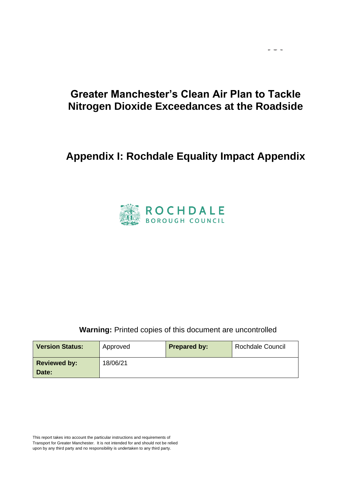$\omega_{\rm c}$  and  $\omega_{\rm c}$ 

# **Appendix I: Rochdale Equality Impact Appendix**



#### **Warning: Printed copies of this document are uncontrolled**

| <b>Version Status:</b> | Approved | <b>Prepared by:</b> | <b>Rochdale Council</b> |
|------------------------|----------|---------------------|-------------------------|
| <b>Reviewed by:</b>    | 18/06/21 |                     |                         |
| Date:                  |          |                     |                         |

This report takes into account the particular instructions and requirements of Transport for Greater Manchester. It is not intended for and should not be relied upon by any third party and no responsibility is undertaken to any third party.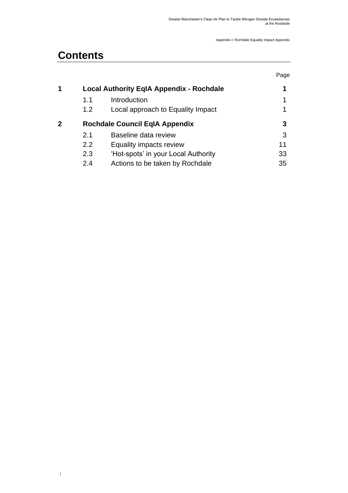# **Contents**

 $\,$   $\,$ 

|   |     |                                                 | Page |
|---|-----|-------------------------------------------------|------|
| 1 |     | <b>Local Authority EqIA Appendix - Rochdale</b> | 1    |
|   | 1.1 | Introduction                                    | 1    |
|   | 1.2 | Local approach to Equality Impact               |      |
| 2 |     | <b>Rochdale Council EqIA Appendix</b>           | 3    |
|   | 2.1 | Baseline data review                            | 3    |
|   | 2.2 | Equality impacts review                         | 11   |
|   | 2.3 | 'Hot-spots' in your Local Authority             | 33   |
|   | 2.4 | Actions to be taken by Rochdale                 | 35   |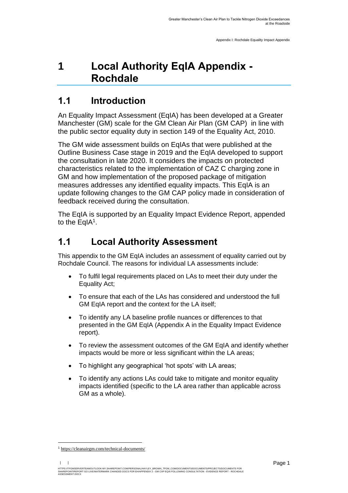# <span id="page-2-0"></span>**1 Local Authority EqIA Appendix - Rochdale**

# <span id="page-2-1"></span>**1.1 Introduction**

<span id="page-2-2"></span>An Equality Impact Assessment (EqIA) has been developed at a Greater Manchester (GM) scale for the GM Clean Air Plan (GM CAP) in line with the public sector equality duty in section 149 of the Equality Act, 2010.

The GM wide assessment builds on EqIAs that were published at the Outline Business Case stage in 2019 and the EqIA developed to support the consultation in late 2020. It considers the impacts on protected characteristics related to the implementation of CAZ C charging zone in GM and how implementation of the proposed package of mitigation measures addresses any identified equality impacts. This EqIA is an update following changes to the GM CAP policy made in consideration of feedback received during the consultation.

The EqIA is supported by an Equality Impact Evidence Report, appended to the EqIA<sup>1</sup>.

## **1.1 Local Authority Assessment**

This appendix to the GM EqIA includes an assessment of equality carried out by Rochdale Council. The reasons for individual LA assessments include:

- To fulfil legal requirements placed on LAs to meet their duty under the Equality Act;
- To ensure that each of the LAs has considered and understood the full GM EqIA report and the context for the LA itself;
- To identify any LA baseline profile nuances or differences to that presented in the GM EqIA (Appendix A in the Equality Impact Evidence report).
- To review the assessment outcomes of the GM EqIA and identify whether impacts would be more or less significant within the LA areas;
- To highlight any geographical 'hot spots' with LA areas;
- To identify any actions LAs could take to mitigate and monitor equality impacts identified (specific to the LA area rather than applicable across GM as a whole).

<sup>1</sup> [https://cleanairgm.com/technical-documents/](https://secure-web.cisco.com/11eiBCgElauzNx9ZLncgJx3iOubmp4VtcvvkdlhxY65RKvTbIb59-L2ncr8SElltrd2x-6LbEl4KMsTTxIe3wkMOtRdF_mwDnnUw_pzGQZOwSRIhPJyQIZ8Yp6BpEAcNSn8Ts-zUMkCwwKuuZ6JqlhO90pJazjetwe6gKhLVIM_BswP0PQmXUeuqGyGpWdmieI8qM86OywsW2Ih1TXBkADjvPWBAW0J67oLJLyOi-5a-P-uw5qxFWy4jV1Rgj27aX74mWEA8RmcCJF_QiJniWV9Y7vnNRmfIdielNKILyTnV3ChPut5AXlpom2ThMoaDynN4YcMw9M5bXrEI6WdmDFg/https%3A%2F%2Furl4.mailanyone.net%2Fv1%2F%3Fm%3D1lqaQa-0007kg-3t%26i%3D57e1b682%26c%3Dwx7pouswT3bJs4LPeETsz86q7Q_0OC56XXhe7DlJDibGRSGR8fdmSomeuSdI7C2Fa0eQbaAqoLXhP95flvC3e_rUhnBjBiD8llf9LaF4ZtCjfFRgnR8YVM3huSJaCGnICk94fttlvHc5puWw5cDJWXKncROEJUpzHqnxCBOtlS83l3-sjgML-pIcbUhAQZELxzuJu6c3812_3lnwQAbyYwgocO5Fara8d5TyMQqiWW6tNZcZXXghiSlVoISAGQRmsZ-TU8nVqIdM3Z7LyV0OBSLL4yenFqLa1SDyZM36c6L9Rv_9RwvC_zO8-ja9EEmp3RuaxQ4iKqu8pID_qRBxLRB9hKR0Yp8TjK3AxZQfI6W6JX6ff_FKZIssUgNuX4h8fgWjXtS31MSzgcKKD5htCOS8RNiJG7hqFaezCADs1zqfd5YI5KwtXyQV8Xcw9c04dqUU3rtH6b_zGkplrYZzi_tw5Uh0gVH_yDQ0aze-YmaYOmPe-7DcIOn3tcJzyPAzyNqQZKCfP-i1oh349NtnaY_1gjK4qs0hRBa9R9D0kEGpaGRFokA16JTCjrnHuvRgs7DcM7Fi3nDdrs6xiFxYb34O5EIVstmWMeA67C4pmsqoQ4hX3-rUnQd3vI35GAzQJzJxEsp-QxLb4UU4coOA_r80VNAaur_GF4G4X8lvmN0gEZ3Wu5QzUhFNsj4TCOgSucH17LnJrJVLTZfksCAbTQ)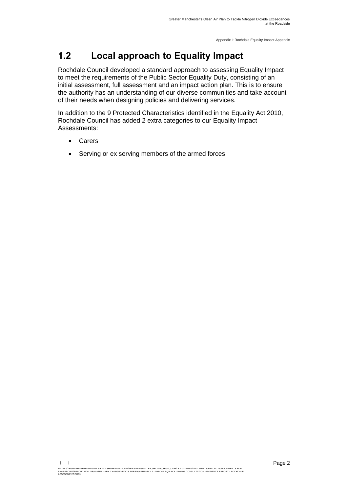# **1.2 Local approach to Equality Impact**

Rochdale Council developed a standard approach to assessing Equality Impact to meet the requirements of the Public Sector Equality Duty, consisting of an initial assessment, full assessment and an impact action plan. This is to ensure the authority has an understanding of our diverse communities and take account of their needs when designing policies and delivering services.

In addition to the 9 Protected Characteristics identified in the Equality Act 2010, Rochdale Council has added 2 extra categories to our Equality Impact Assessments:

- **Carers**
- Serving or ex serving members of the armed forces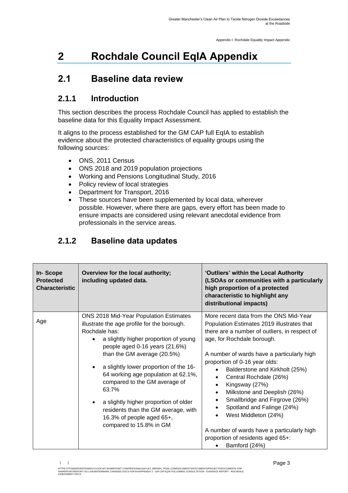# <span id="page-4-0"></span>**2 Rochdale Council EqIA Appendix**

# <span id="page-4-1"></span>**2.1 Baseline data review**

## **2.1.1 Introduction**

This section describes the process Rochdale Council has applied to establish the baseline data for this Equality Impact Assessment.

It aligns to the process established for the GM CAP full EqIA to establish evidence about the protected characteristics of equality groups using the following sources:

- ONS, 2011 Census
- ONS 2018 and 2019 population projections
- Working and Pensions Longitudinal Study, 2016
- Policy review of local strategies
- Department for Transport, 2016
- These sources have been supplemented by local data, wherever possible. However, where there are gaps, every effort has been made to ensure impacts are considered using relevant anecdotal evidence from professionals in the service areas.

| In-Scope<br><b>Protected</b><br><b>Characteristic</b> | Overview for the local authority;<br>including updated data.                                                                                                                                                                                                                                                                                                                                                                                                                        | 'Outliers' within the Local Authority<br>(LSOAs or communities with a particularly<br>high proportion of a protected<br>characteristic to highlight any<br>distributional impacts)                                                                                                                                                                                                                                                                                                                                                                                                                                            |
|-------------------------------------------------------|-------------------------------------------------------------------------------------------------------------------------------------------------------------------------------------------------------------------------------------------------------------------------------------------------------------------------------------------------------------------------------------------------------------------------------------------------------------------------------------|-------------------------------------------------------------------------------------------------------------------------------------------------------------------------------------------------------------------------------------------------------------------------------------------------------------------------------------------------------------------------------------------------------------------------------------------------------------------------------------------------------------------------------------------------------------------------------------------------------------------------------|
| Age                                                   | ONS 2018 Mid-Year Population Estimates<br>illustrate the age profile for the borough.<br>Rochdale has:<br>a slightly higher proportion of young<br>people aged 0-16 years (21.6%)<br>than the GM average (20.5%)<br>a slightly lower proportion of the 16-<br>64 working age population at 62.1%,<br>compared to the GM average of<br>63.7%<br>a slightly higher proportion of older<br>residents than the GM average, with<br>16.3% of people aged 65+,<br>compared to 15.8% in GM | More recent data from the ONS Mid-Year<br>Population Estimates 2019 illustrates that<br>there are a number of outliers, in respect of<br>age, for Rochdale borough.<br>A number of wards have a particularly high<br>proportion of 0-16 year olds:<br>Balderstone and Kirkholt (25%)<br>$\bullet$<br>Central Rochdale (26%)<br>$\bullet$<br>Kingsway (27%)<br>$\bullet$<br>Milkstone and Deeplish (26%)<br>$\bullet$<br>Smallbridge and Firgrove (26%)<br>$\bullet$<br>Spotland and Falinge (24%)<br>West Middleton (24%)<br>A number of wards have a particularly high<br>proportion of residents aged 65+:<br>Bamford (24%) |

### **2.1.2 Baseline data updates**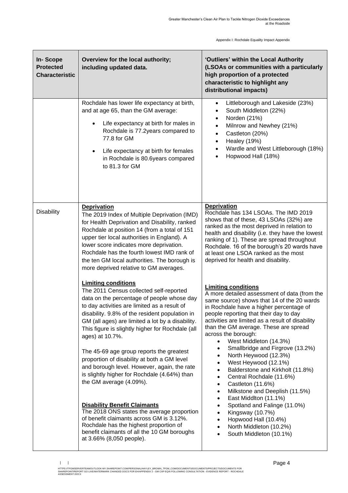| <b>In-Scope</b><br><b>Protected</b><br><b>Characteristic</b> | Overview for the local authority;<br>including updated data.                                                                                                                                                                                                                                                                                                                                                                                                                                                                                                                                                                                                                                                                                                                                                                | 'Outliers' within the Local Authority<br>(LSOAs or communities with a particularly<br>high proportion of a protected<br>characteristic to highlight any<br>distributional impacts)                                                                                                                                                                                                                                                                                                                                                                                                                                                                                                                                                                                                               |
|--------------------------------------------------------------|-----------------------------------------------------------------------------------------------------------------------------------------------------------------------------------------------------------------------------------------------------------------------------------------------------------------------------------------------------------------------------------------------------------------------------------------------------------------------------------------------------------------------------------------------------------------------------------------------------------------------------------------------------------------------------------------------------------------------------------------------------------------------------------------------------------------------------|--------------------------------------------------------------------------------------------------------------------------------------------------------------------------------------------------------------------------------------------------------------------------------------------------------------------------------------------------------------------------------------------------------------------------------------------------------------------------------------------------------------------------------------------------------------------------------------------------------------------------------------------------------------------------------------------------------------------------------------------------------------------------------------------------|
|                                                              | Rochdale has lower life expectancy at birth,<br>and at age 65, than the GM average:<br>Life expectancy at birth for males in<br>Rochdale is 77.2years compared to<br>77.8 for GM<br>Life expectancy at birth for females<br>$\bullet$<br>in Rochdale is 80.6years compared<br>to 81.3 for GM                                                                                                                                                                                                                                                                                                                                                                                                                                                                                                                                | Littleborough and Lakeside (23%)<br>$\bullet$<br>South Middleton (22%)<br>$\bullet$<br>Norden (21%)<br>$\bullet$<br>Milnrow and Newhey (21%)<br>$\bullet$<br>Castleton (20%)<br>$\bullet$<br><b>Healey (19%)</b><br>$\bullet$<br>Wardle and West Littleborough (18%)<br>$\bullet$<br>Hopwood Hall (18%)<br>$\bullet$                                                                                                                                                                                                                                                                                                                                                                                                                                                                             |
| <b>Disability</b>                                            | <b>Deprivation</b><br>The 2019 Index of Multiple Deprivation (IMD)<br>for Health Deprivation and Disability, ranked<br>Rochdale at position 14 (from a total of 151<br>upper tier local authorities in England). A<br>lower score indicates more deprivation.<br>Rochdale has the fourth lowest IMD rank of<br>the ten GM local authorities. The borough is<br>more deprived relative to GM averages.                                                                                                                                                                                                                                                                                                                                                                                                                       | <b>Deprivation</b><br>Rochdale has 134 LSOAs. The IMD 2019<br>shows that of these, 43 LSOAs (32%) are<br>ranked as the most deprived in relation to<br>health and disability (i.e. they have the lowest<br>ranking of 1). These are spread throughout<br>Rochdale. 16 of the borough's 20 wards have<br>at least one LSOA ranked as the most<br>deprived for health and disability.                                                                                                                                                                                                                                                                                                                                                                                                              |
|                                                              | <b>Limiting conditions</b><br>The 2011 Census collected self-reported<br>data on the percentage of people whose day<br>to day activities are limited as a result of<br>disability. 9.8% of the resident population in<br>GM (all ages) are limited a lot by a disability.<br>This figure is slightly higher for Rochdale (all<br>ages) at 10.7%.<br>The 45-69 age group reports the greatest<br>proportion of disability at both a GM level<br>and borough level. However, again, the rate<br>is slightly higher for Rochdale (4.64%) than<br>the GM average (4.09%).<br><b>Disability Benefit Claimants</b><br>The 2018 ONS states the average proportion<br>of benefit claimants across GM is 3.12%.<br>Rochdale has the highest proportion of<br>benefit claimants of all the 10 GM boroughs<br>at 3.66% (8,050 people). | <b>Limiting conditions</b><br>A more detailed assessment of data (from the<br>same source) shows that 14 of the 20 wards<br>in Rochdale have a higher percentage of<br>people reporting that their day to day<br>activities are limited as a result of disability<br>than the GM average. These are spread<br>across the borough:<br>West Middleton (14.3%)<br>Smallbridge and Firgrove (13.2%)<br>North Heywood (12.3%)<br>٠<br>West Heywood (12.1%)<br>Balderstone and Kirkholt (11.8%)<br>Central Rochdale (11.6%)<br>$\bullet$<br>Castleton (11.6%)<br>$\bullet$<br>Milkstone and Deeplish (11.5%)<br>$\bullet$<br>East Middlton (11.1%)<br>٠<br>Spotland and Falinge (11.0%)<br>Kingsway (10.7%)<br>Hopwood Hall (10.4%)<br>North Middleton (10.2%)<br>South Middleton (10.1%)<br>$\bullet$ |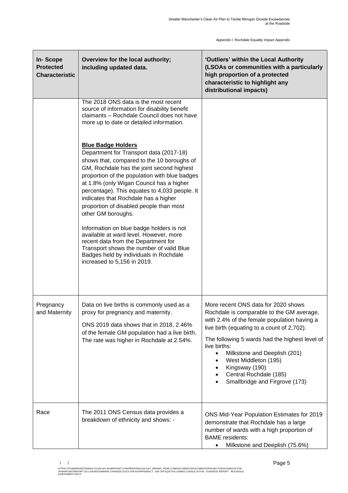| In-Scope<br><b>Protected</b><br><b>Characteristic</b> | Overview for the local authority;<br>including updated data.                                                                                                                                                                                                                                                                                                                                                                                                                                                                                                                                                                                                                                                                                                                                                                | 'Outliers' within the Local Authority<br>(LSOAs or communities with a particularly<br>high proportion of a protected<br>characteristic to highlight any<br>distributional impacts)                                                                                                                                                                                                                |
|-------------------------------------------------------|-----------------------------------------------------------------------------------------------------------------------------------------------------------------------------------------------------------------------------------------------------------------------------------------------------------------------------------------------------------------------------------------------------------------------------------------------------------------------------------------------------------------------------------------------------------------------------------------------------------------------------------------------------------------------------------------------------------------------------------------------------------------------------------------------------------------------------|---------------------------------------------------------------------------------------------------------------------------------------------------------------------------------------------------------------------------------------------------------------------------------------------------------------------------------------------------------------------------------------------------|
|                                                       | The 2018 ONS data is the most recent<br>source of information for disability benefit<br>claimants - Rochdale Council does not have<br>more up to date or detailed information.<br><b>Blue Badge Holders</b><br>Department for Transport data (2017-18)<br>shows that, compared to the 10 boroughs of<br>GM, Rochdale has the joint second highest<br>proportion of the population with blue badges<br>at 1.8% (only Wigan Council has a higher<br>percentage). This equates to 4,033 people. It<br>indicates that Rochdale has a higher<br>proportion of disabled people than most<br>other GM boroughs.<br>Information on blue badge holders is not<br>available at ward level. However, more<br>recent data from the Department for<br>Transport shows the number of valid Blue<br>Badges held by individuals in Rochdale |                                                                                                                                                                                                                                                                                                                                                                                                   |
|                                                       | increased to 5,156 in 2019.                                                                                                                                                                                                                                                                                                                                                                                                                                                                                                                                                                                                                                                                                                                                                                                                 |                                                                                                                                                                                                                                                                                                                                                                                                   |
| Pregnancy<br>and Maternity                            | Data on live births is commonly used as a<br>proxy for pregnancy and maternity.<br>ONS 2019 data shows that in 2018, 2.46%<br>of the female GM population had a live birth.<br>The rate was higher in Rochdale at 2.54%.                                                                                                                                                                                                                                                                                                                                                                                                                                                                                                                                                                                                    | More recent ONS data for 2020 shows<br>Rochdale is comparable to the GM average<br>with 2.4% of the female population having a<br>live birth (equating to a count of 2,702).<br>The following 5 wards had the highest level of<br>live births:<br>Milkstone and Deeplish (201)<br>$\bullet$<br>West Middleton (195)<br>Kingsway (190)<br>Central Rochdale (185)<br>Smallbridge and Firgrove (173) |
| Race                                                  | The 2011 ONS Census data provides a<br>breakdown of ethnicity and shows: -                                                                                                                                                                                                                                                                                                                                                                                                                                                                                                                                                                                                                                                                                                                                                  | ONS Mid-Year Population Estimates for 2019<br>demonstrate that Rochdale has a large<br>number of wards with a high proportion of<br><b>BAME</b> residents:<br>Milkstone and Deeplish (75.6%)<br>$\bullet$                                                                                                                                                                                         |

HTTPS://TFGMSERVERTEAMOUTLOOK-MY.SHAREPOINT.COM/PERSONAL/HAYLEY\_BROWN\_TFGM\_COM/DOCUMENTS/DOCUMENTS/ROJECTS/DOCUMENTS FOR<br>SHAREPOINT/REPORT GO LIVE/WATERMARK CHANGED DOCS FOR EH/APPENDIX 2 - GM CAP EQIA FOLLOWING CONSULTATI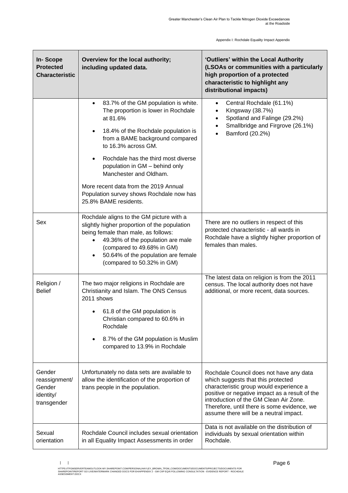| <b>In-Scope</b><br><b>Protected</b><br><b>Characteristic</b>  | Overview for the local authority;<br>including updated data.                                                                                                                                                                                                                                                                                                                                                                        | 'Outliers' within the Local Authority<br>(LSOAs or communities with a particularly<br>high proportion of a protected<br>characteristic to highlight any<br>distributional impacts)                                                                                                                            |
|---------------------------------------------------------------|-------------------------------------------------------------------------------------------------------------------------------------------------------------------------------------------------------------------------------------------------------------------------------------------------------------------------------------------------------------------------------------------------------------------------------------|---------------------------------------------------------------------------------------------------------------------------------------------------------------------------------------------------------------------------------------------------------------------------------------------------------------|
|                                                               | 83.7% of the GM population is white.<br>$\bullet$<br>The proportion is lower in Rochdale<br>at 81.6%<br>18.4% of the Rochdale population is<br>$\bullet$<br>from a BAME background compared<br>to 16.3% across GM.<br>Rochdale has the third most diverse<br>population in GM - behind only<br>Manchester and Oldham.<br>More recent data from the 2019 Annual<br>Population survey shows Rochdale now has<br>25.8% BAME residents. | Central Rochdale (61.1%)<br>$\bullet$<br>Kingsway (38.7%)<br>Spotland and Falinge (29.2%)<br>$\bullet$<br>Smallbridge and Firgrove (26.1%)<br>Bamford (20.2%)                                                                                                                                                 |
| Sex                                                           | Rochdale aligns to the GM picture with a<br>slightly higher proportion of the population<br>being female than male, as follows:<br>49.36% of the population are male<br>(compared to 49.68% in GM)<br>50.64% of the population are female<br>$\bullet$<br>(compared to 50.32% in GM)                                                                                                                                                | There are no outliers in respect of this<br>protected characteristic - all wards in<br>Rochdale have a slightly higher proportion of<br>females than males.                                                                                                                                                   |
| Religion /<br><b>Belief</b>                                   | The two major religions in Rochdale are<br>Christianity and Islam. The ONS Census<br>2011 shows<br>• 61.8 of the GM population is<br>Christian compared to 60.6% in<br>Rochdale<br>8.7% of the GM population is Muslim<br>$\bullet$<br>compared to 13.9% in Rochdale                                                                                                                                                                | The latest data on religion is from the 2011<br>census. The local authority does not have<br>additional, or more recent, data sources.                                                                                                                                                                        |
| Gender<br>reassignment/<br>Gender<br>identity/<br>transgender | Unfortunately no data sets are available to<br>allow the identification of the proportion of<br>trans people in the population.                                                                                                                                                                                                                                                                                                     | Rochdale Council does not have any data<br>which suggests that this protected<br>characteristic group would experience a<br>positive or negative impact as a result of the<br>introduction of the GM Clean Air Zone.<br>Therefore, until there is some evidence, we<br>assume there will be a neutral impact. |
| Sexual<br>orientation                                         | Rochdale Council includes sexual orientation<br>in all Equality Impact Assessments in order                                                                                                                                                                                                                                                                                                                                         | Data is not available on the distribution of<br>individuals by sexual orientation within<br>Rochdale.                                                                                                                                                                                                         |

 $\| \cdot \|$ 

HTTPS://TFGMSERVERTEAMOUTLOOK-MY.SHAREPOINT.COM/PERSONAL/HAYLEY\_BROWN\_TFGM\_COM/DOCUMENTS/DOCUMENTS/ROJECTS/DOCUMENTS FOR<br>SHAREPOINT/REPORT GO LIVE/WATERMARK CHANGED DOCS FOR EH/APPENDIX 2 - GM CAP EQIA FOLLOWING CONSULTATI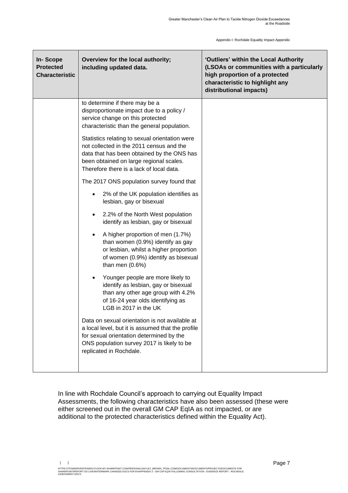| <b>In-Scope</b><br><b>Protected</b><br><b>Characteristic</b> | Overview for the local authority;<br>including updated data.                                                                                                                                                                    | 'Outliers' within the Local Authority<br>(LSOAs or communities with a particularly<br>high proportion of a protected<br>characteristic to highlight any<br>distributional impacts) |
|--------------------------------------------------------------|---------------------------------------------------------------------------------------------------------------------------------------------------------------------------------------------------------------------------------|------------------------------------------------------------------------------------------------------------------------------------------------------------------------------------|
|                                                              | to determine if there may be a<br>disproportionate impact due to a policy /<br>service change on this protected<br>characteristic than the general population.                                                                  |                                                                                                                                                                                    |
|                                                              | Statistics relating to sexual orientation were<br>not collected in the 2011 census and the<br>data that has been obtained by the ONS has<br>been obtained on large regional scales.<br>Therefore there is a lack of local data. |                                                                                                                                                                                    |
|                                                              | The 2017 ONS population survey found that                                                                                                                                                                                       |                                                                                                                                                                                    |
|                                                              | 2% of the UK population identifies as<br>lesbian, gay or bisexual                                                                                                                                                               |                                                                                                                                                                                    |
|                                                              | 2.2% of the North West population<br>$\bullet$<br>identify as lesbian, gay or bisexual                                                                                                                                          |                                                                                                                                                                                    |
|                                                              | A higher proportion of men (1.7%)<br>$\bullet$<br>than women (0.9%) identify as gay<br>or lesbian, whilst a higher proportion<br>of women (0.9%) identify as bisexual<br>than men $(0.6%)$                                      |                                                                                                                                                                                    |
|                                                              | Younger people are more likely to<br>$\bullet$<br>identify as lesbian, gay or bisexual<br>than any other age group with 4.2%<br>of 16-24 year olds identifying as<br>LGB in 2017 in the UK                                      |                                                                                                                                                                                    |
|                                                              | Data on sexual orientation is not available at<br>a local level, but it is assumed that the profile<br>for sexual orientation determined by the<br>ONS population survey 2017 is likely to be<br>replicated in Rochdale.        |                                                                                                                                                                                    |

In line with Rochdale Council's approach to carrying out Equality Impact Assessments, the following characteristics have also been assessed (these were either screened out in the overall GM CAP EqIA as not impacted, or are additional to the protected characteristics defined within the Equality Act).

 $\|\cdot\|$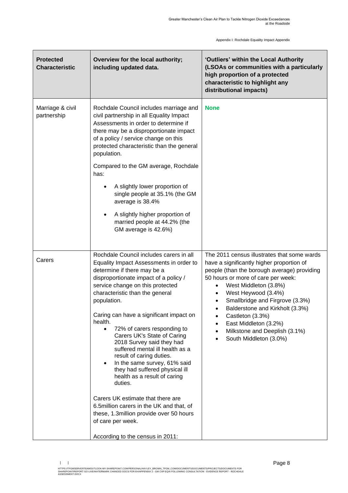| <b>Protected</b><br><b>Characteristic</b> | Overview for the local authority;<br>including updated data.                                                                                                                                                                                                                                                                                                                                                                                                                                                                                                                                                                                                                                                                                                                                  | 'Outliers' within the Local Authority<br>(LSOAs or communities with a particularly<br>high proportion of a protected<br>characteristic to highlight any<br>distributional impacts)                                                                                                                                                                                                                          |
|-------------------------------------------|-----------------------------------------------------------------------------------------------------------------------------------------------------------------------------------------------------------------------------------------------------------------------------------------------------------------------------------------------------------------------------------------------------------------------------------------------------------------------------------------------------------------------------------------------------------------------------------------------------------------------------------------------------------------------------------------------------------------------------------------------------------------------------------------------|-------------------------------------------------------------------------------------------------------------------------------------------------------------------------------------------------------------------------------------------------------------------------------------------------------------------------------------------------------------------------------------------------------------|
| Marriage & civil<br>partnership           | Rochdale Council includes marriage and<br>civil partnership in all Equality Impact<br>Assessments in order to determine if<br>there may be a disproportionate impact<br>of a policy / service change on this<br>protected characteristic than the general<br>population.<br>Compared to the GM average, Rochdale<br>has:<br>A slightly lower proportion of<br>single people at 35.1% (the GM<br>average is 38.4%<br>A slightly higher proportion of<br>$\bullet$<br>married people at 44.2% (the<br>GM average is 42.6%)                                                                                                                                                                                                                                                                      | <b>None</b>                                                                                                                                                                                                                                                                                                                                                                                                 |
| Carers                                    | Rochdale Council includes carers in all<br>Equality Impact Assessments in order to<br>determine if there may be a<br>disproportionate impact of a policy /<br>service change on this protected<br>characteristic than the general<br>population.<br>Caring can have a significant impact on<br>health.<br>72% of carers responding to<br>$\bullet$<br>Carers UK's State of Caring<br>2018 Survey said they had<br>suffered mental ill health as a<br>result of caring duties.<br>In the same survey, 61% said<br>$\bullet$<br>they had suffered physical ill<br>health as a result of caring<br>duties.<br>Carers UK estimate that there are<br>6.5 million carers in the UK and that, of<br>these, 1.3million provide over 50 hours<br>of care per week.<br>According to the census in 2011: | The 2011 census illustrates that some wards<br>have a significantly higher proportion of<br>people (than the borough average) providing<br>50 hours or more of care per week:<br>West Middleton (3.8%)<br>West Heywood (3.4%)<br>Smallbridge and Firgrove (3.3%)<br>Balderstone and Kirkholt (3.3%)<br>Castleton (3.3%)<br>East Middleton (3.2%)<br>Milkstone and Deeplish (3.1%)<br>South Middleton (3.0%) |

 $\| \cdot \|$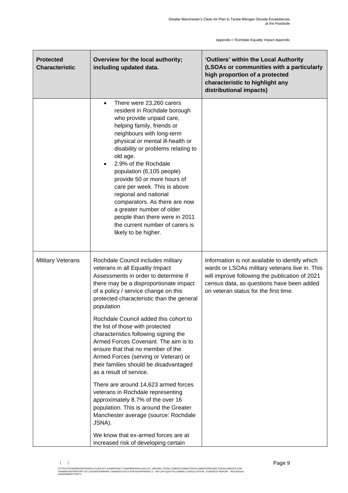| <b>Protected</b><br><b>Characteristic</b> | Overview for the local authority;<br>including updated data.                                                                                                                                                                                                                                                                                                                                                                                                                                                                                               | 'Outliers' within the Local Authority<br>(LSOAs or communities with a particularly<br>high proportion of a protected<br>characteristic to highlight any<br>distributional impacts)                                                       |
|-------------------------------------------|------------------------------------------------------------------------------------------------------------------------------------------------------------------------------------------------------------------------------------------------------------------------------------------------------------------------------------------------------------------------------------------------------------------------------------------------------------------------------------------------------------------------------------------------------------|------------------------------------------------------------------------------------------------------------------------------------------------------------------------------------------------------------------------------------------|
|                                           | There were 23,260 carers<br>$\bullet$<br>resident in Rochdale borough<br>who provide unpaid care,<br>helping family, friends or<br>neighbours with long-term<br>physical or mental ill-health or<br>disability or problems relating to<br>old age.<br>2.9% of the Rochdale<br>population (6,105 people)<br>provide 50 or more hours of<br>care per week. This is above<br>regional and national<br>comparators. As there are now<br>a greater number of older<br>people than there were in 2011<br>the current number of carers is<br>likely to be higher. |                                                                                                                                                                                                                                          |
| <b>Military Veterans</b>                  | Rochdale Council includes military<br>veterans in all Equality Impact<br>Assessments in order to determine if<br>there may be a disproportionate impact<br>of a policy / service change on this<br>protected characteristic than the general<br>population                                                                                                                                                                                                                                                                                                 | Information is not available to identify which<br>wards or LSOAs military veterans live in. This<br>will improve following the publication of 2021<br>census data, as questions have been added<br>on veteran status for the first time. |
|                                           | Rochdale Council added this cohort to<br>the list of those with protected<br>characteristics following signing the<br>Armed Forces Covenant. The aim is to<br>ensure that that no member of the<br>Armed Forces (serving or Veteran) or<br>their families should be disadvantaged<br>as a result of service.                                                                                                                                                                                                                                               |                                                                                                                                                                                                                                          |
|                                           | There are around 14,623 armed forces<br>veterans in Rochdale representing<br>approximately 8.7% of the over 16<br>population. This is around the Greater<br>Manchester average (source: Rochdale<br>JSNA).                                                                                                                                                                                                                                                                                                                                                 |                                                                                                                                                                                                                                          |
|                                           | We know that ex-armed forces are at<br>increased risk of developing certain                                                                                                                                                                                                                                                                                                                                                                                                                                                                                |                                                                                                                                                                                                                                          |

 $\| \cdot \|$ HTTPS://TFGMSERVERTEAMOUTLOOK-MY.SHAREPOINT.COM/PERSONAL/HAYLEY\_BROWN\_TFGM\_COM/DOCUMENTS/DOCUMENTS/ROJECTS/DOCUMENTS FOR<br>SHAREPOINT/REPORT GO LIVE/WATERMARK CHANGED DOCS FOR EH/APPENDIX 2 - GM CAP EQIA FOLLOWING CONSULTATI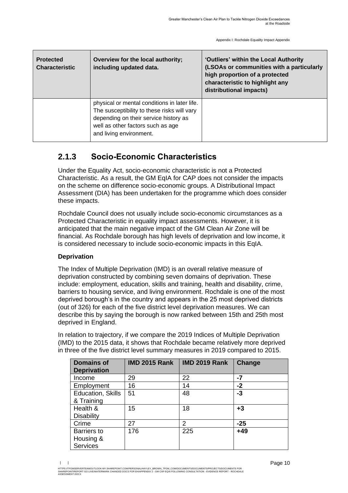| <b>Protected</b><br><b>Characteristic</b> | Overview for the local authority;<br>including updated data.                                                                                                                                         | 'Outliers' within the Local Authority<br>(LSOAs or communities with a particularly<br>high proportion of a protected<br>characteristic to highlight any<br>distributional impacts) |
|-------------------------------------------|------------------------------------------------------------------------------------------------------------------------------------------------------------------------------------------------------|------------------------------------------------------------------------------------------------------------------------------------------------------------------------------------|
|                                           | physical or mental conditions in later life.<br>The susceptibility to these risks will vary<br>depending on their service history as<br>well as other factors such as age<br>and living environment. |                                                                                                                                                                                    |

### **2.1.3 Socio-Economic Characteristics**

Under the Equality Act, socio-economic characteristic is not a Protected Characteristic. As a result, the GM EqIA for CAP does not consider the impacts on the scheme on difference socio-economic groups. A Distributional Impact Assessment (DIA) has been undertaken for the programme which does consider these impacts.

Rochdale Council does not usually include socio-economic circumstances as a Protected Characteristic in equality impact assessments. However, it is anticipated that the main negative impact of the GM Clean Air Zone will be financial. As Rochdale borough has high levels of deprivation and low income, it is considered necessary to include socio-economic impacts in this EqIA.

#### **Deprivation**

The Index of Multiple Deprivation (IMD) is an overall relative measure of deprivation constructed by combining seven domains of deprivation. These include: employment, education, skills and training, health and disability, crime, barriers to housing service, and living environment. Rochdale is one of the most deprived borough's in the country and appears in the 25 most deprived districts (out of 326) for each of the five district level deprivation measures. We can describe this by saying the borough is now ranked between 15th and 25th most deprived in England.

In relation to trajectory, if we compare the 2019 Indices of Multiple Deprivation (IMD) to the 2015 data, it shows that Rochdale became relatively more deprived in three of the five district level summary measures in 2019 compared to 2015.

| <b>Domains of</b><br><b>Deprivation</b> | <b>IMD 2015 Rank</b> | <b>IMD 2019 Rank</b> | Change |
|-----------------------------------------|----------------------|----------------------|--------|
| Income                                  | 29                   | 22                   | -7     |
| Employment                              | 16                   | 14                   | $-2$   |
| Education, Skills                       | 51                   | 48                   | -3     |
| & Training                              |                      |                      |        |
| Health &                                | 15                   | 18                   | $+3$   |
| <b>Disability</b>                       |                      |                      |        |
| Crime                                   | 27                   | $\mathcal{P}$        | $-25$  |
| <b>Barriers to</b>                      | 176                  | 225                  | +49    |
| Housing &                               |                      |                      |        |
| <b>Services</b>                         |                      |                      |        |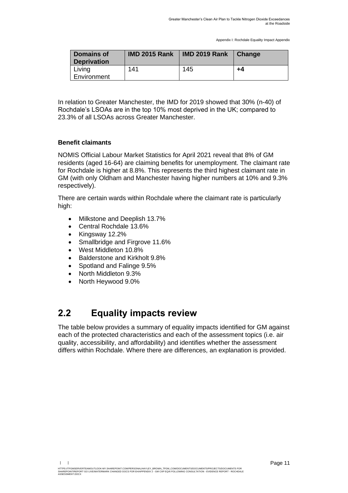| <b>Domains of</b><br><b>Deprivation</b> | <b>IMD 2015 Rank</b> | <b>IMD 2019 Rank</b> | <b>Change</b> |
|-----------------------------------------|----------------------|----------------------|---------------|
| Living<br>Environment                   | 141                  | 145                  | +4            |

In relation to Greater Manchester, the IMD for 2019 showed that 30% (n-40) of Rochdale's LSOAs are in the top 10% most deprived in the UK; compared to 23.3% of all LSOAs across Greater Manchester.

#### **Benefit claimants**

NOMIS Official Labour Market Statistics for April 2021 reveal that 8% of GM residents (aged 16-64) are claiming benefits for unemployment. The claimant rate for Rochdale is higher at 8.8%. This represents the third highest claimant rate in GM (with only Oldham and Manchester having higher numbers at 10% and 9.3% respectively).

There are certain wards within Rochdale where the claimant rate is particularly high:

- Milkstone and Deeplish 13.7%
- Central Rochdale 13.6%
- Kingsway 12.2%
- Smallbridge and Firgrove 11.6%
- West Middleton 10.8%
- Balderstone and Kirkholt 9.8%
- Spotland and Falinge 9.5%
- North Middleton 9.3%
- North Heywood 9.0%

## <span id="page-12-0"></span>**2.2 Equality impacts review**

The table below provides a summary of equality impacts identified for GM against each of the protected characteristics and each of the assessment topics (i.e. air quality, accessibility, and affordability) and identifies whether the assessment differs within Rochdale. Where there are differences, an explanation is provided.

HTTPS://TFGMSERVERTEAMOUTLOOK-MY.SHAREPOINT.COM/PERSONAL/HAYLEY\_BROWN\_TFGM\_COM/DOCUMENTS/DOCUMENTS/ROJECTS/DOCUMENTS FOR<br>SHAREPOINT/REPORT GO LIVE/WATERMARK CHANGED DOCS FOR EH/APPENDIX 2 - GM CAP EQIA FOLLOWING CONSULTATI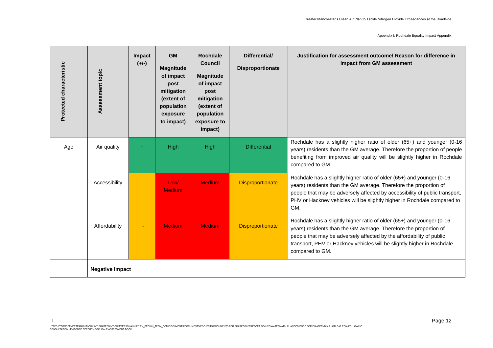Appendix I: Rochdale Equality Impact Appendix

| Protected characteristic | Assessment topic | Impact<br>$(+/-)$      | <b>GM</b><br>Magnitude<br>of impact<br>post<br>mitigation<br>(extent of<br>population<br>exposure<br>to impact) | <b>Rochdale</b><br><b>Council</b><br><b>Magnitude</b><br>of impact<br>post<br>mitigation<br>(extent of<br>population<br>exposure to<br>impact) | Differential/<br><b>Disproportionate</b> | Justification for assessment outcome/ Reason for difference in<br>impact from GM assessment                                                                                                                                                                                                                     |  |  |  |  |  |
|--------------------------|------------------|------------------------|-----------------------------------------------------------------------------------------------------------------|------------------------------------------------------------------------------------------------------------------------------------------------|------------------------------------------|-----------------------------------------------------------------------------------------------------------------------------------------------------------------------------------------------------------------------------------------------------------------------------------------------------------------|--|--|--|--|--|
| Age                      | Air quality      | $+$                    | High                                                                                                            | High                                                                                                                                           | <b>Differential</b>                      | Rochdale has a slightly higher ratio of older (65+) and younger (0-16<br>years) residents than the GM average. Therefore the proportion of people<br>benefiting from improved air quality will be slightly higher in Rochdale<br>compared to GM.                                                                |  |  |  |  |  |
|                          | Accessibility    |                        | Low/<br><b>Medium</b>                                                                                           | <b>Medium</b>                                                                                                                                  | <b>Disproportionate</b>                  | Rochdale has a slightly higher ratio of older (65+) and younger (0-16<br>years) residents than the GM average. Therefore the proportion of<br>people that may be adversely affected by accessibility of public transport,<br>PHV or Hackney vehicles will be slightly higher in Rochdale compared to<br>GM.     |  |  |  |  |  |
|                          | Affordability    |                        | <b>Medium</b>                                                                                                   | <b>Medium</b>                                                                                                                                  | <b>Disproportionate</b>                  | Rochdale has a slightly higher ratio of older (65+) and younger (0-16<br>years) residents than the GM average. Therefore the proportion of<br>people that may be adversely affected by the affordability of public<br>transport, PHV or Hackney vehicles will be slightly higher in Rochdale<br>compared to GM. |  |  |  |  |  |
|                          |                  | <b>Negative Impact</b> |                                                                                                                 |                                                                                                                                                |                                          |                                                                                                                                                                                                                                                                                                                 |  |  |  |  |  |

 $| \cdot |$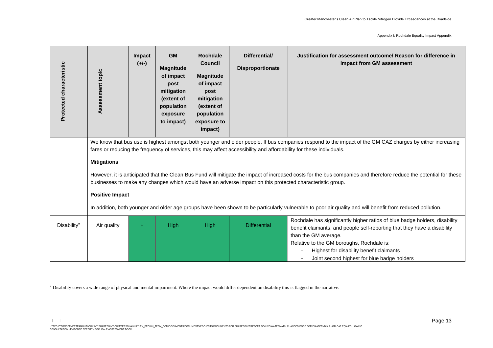| Protected characteristic | Assessment topic                                                                                                                                                                                                                                                                | Impact<br>$(+/-)$ | <b>GM</b><br><b>Magnitude</b><br>of impact<br>post<br>mitigation<br>(extent of<br>population<br>exposure<br>to impact) | <b>Rochdale</b><br><b>Council</b><br><b>Magnitude</b><br>of impact<br>post<br>mitigation<br>(extent of<br>population<br>exposure to<br>impact) | Differential/<br><b>Disproportionate</b> | Justification for assessment outcome/ Reason for difference in<br>impact from GM assessment                                                                                                                                                                                    |  |  |  |
|--------------------------|---------------------------------------------------------------------------------------------------------------------------------------------------------------------------------------------------------------------------------------------------------------------------------|-------------------|------------------------------------------------------------------------------------------------------------------------|------------------------------------------------------------------------------------------------------------------------------------------------|------------------------------------------|--------------------------------------------------------------------------------------------------------------------------------------------------------------------------------------------------------------------------------------------------------------------------------|--|--|--|
|                          | We know that bus use is highest amongst both younger and older people. If bus companies respond to the impact of the GM CAZ charges by either increasing<br>fares or reducing the frequency of services, this may affect accessibility and affordability for these individuals. |                   |                                                                                                                        |                                                                                                                                                |                                          |                                                                                                                                                                                                                                                                                |  |  |  |
|                          | <b>Mitigations</b>                                                                                                                                                                                                                                                              |                   |                                                                                                                        |                                                                                                                                                |                                          |                                                                                                                                                                                                                                                                                |  |  |  |
|                          |                                                                                                                                                                                                                                                                                 |                   |                                                                                                                        |                                                                                                                                                |                                          | However, it is anticipated that the Clean Bus Fund will mitigate the impact of increased costs for the bus companies and therefore reduce the potential for these<br>businesses to make any changes which would have an adverse impact on this protected characteristic group. |  |  |  |
|                          | <b>Positive Impact</b>                                                                                                                                                                                                                                                          |                   |                                                                                                                        |                                                                                                                                                |                                          |                                                                                                                                                                                                                                                                                |  |  |  |
|                          | In addition, both younger and older age groups have been shown to be particularly vulnerable to poor air quality and will benefit from reduced pollution.                                                                                                                       |                   |                                                                                                                        |                                                                                                                                                |                                          |                                                                                                                                                                                                                                                                                |  |  |  |
| Disability <sup>2</sup>  | Air quality                                                                                                                                                                                                                                                                     | $\ddot{}$         | High                                                                                                                   | High                                                                                                                                           | <b>Differential</b>                      | Rochdale has significantly higher ratios of blue badge holders, disability<br>benefit claimants, and people self-reporting that they have a disability<br>than the GM average.<br>Relative to the GM boroughs, Rochdale is:<br>Highest for disability benefit claimants        |  |  |  |
|                          |                                                                                                                                                                                                                                                                                 |                   |                                                                                                                        |                                                                                                                                                |                                          | Joint second highest for blue badge holders                                                                                                                                                                                                                                    |  |  |  |

<sup>&</sup>lt;sup>2</sup> Disability covers a wide range of physical and mental impairment. Where the impact would differ dependent on disability this is flagged in the narrative.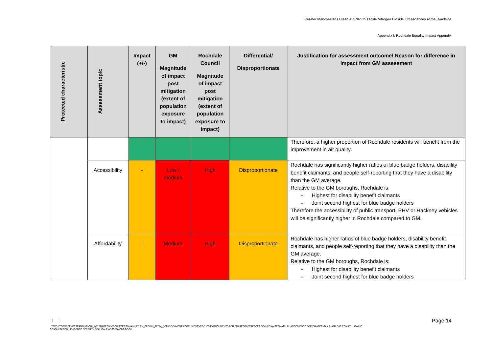Appendix I: Rochdale Equality Impact Appendix

| Protected characteristic | Assessment topic | Impact<br>$(+/-)$ | <b>GM</b><br><b>Magnitude</b><br>of impact<br>post<br>mitigation<br>(extent of<br>population<br>exposure<br>to impact) | <b>Rochdale</b><br><b>Council</b><br><b>Magnitude</b><br>of impact<br>post<br>mitigation<br>(extent of<br>population<br>exposure to<br>impact) | Differential/<br><b>Disproportionate</b> | Justification for assessment outcome/ Reason for difference in<br>impact from GM assessment                                                                                                                                                                                                                                                                                                                                                                    |
|--------------------------|------------------|-------------------|------------------------------------------------------------------------------------------------------------------------|------------------------------------------------------------------------------------------------------------------------------------------------|------------------------------------------|----------------------------------------------------------------------------------------------------------------------------------------------------------------------------------------------------------------------------------------------------------------------------------------------------------------------------------------------------------------------------------------------------------------------------------------------------------------|
|                          |                  |                   |                                                                                                                        |                                                                                                                                                |                                          | Therefore, a higher proportion of Rochdale residents will benefit from the<br>improvement in air quality.                                                                                                                                                                                                                                                                                                                                                      |
|                          | Accessibility    |                   | Low/<br>medium                                                                                                         | <b>High</b>                                                                                                                                    | <b>Disproportionate</b>                  | Rochdale has significantly higher ratios of blue badge holders, disability<br>benefit claimants, and people self-reporting that they have a disability<br>than the GM average.<br>Relative to the GM boroughs, Rochdale is:<br>Highest for disability benefit claimants<br>Joint second highest for blue badge holders<br>Therefore the accessibility of public transport, PHV or Hackney vehicles<br>will be significantly higher in Rochdale compared to GM. |
|                          | Affordability    |                   | <b>Medium</b>                                                                                                          | <b>High</b>                                                                                                                                    | <b>Disproportionate</b>                  | Rochdale has higher ratios of blue badge holders, disability benefit<br>claimants, and people self-reporting that they have a disability than the<br>GM average.<br>Relative to the GM boroughs, Rochdale is:<br>Highest for disability benefit claimants<br>Joint second highest for blue badge holders                                                                                                                                                       |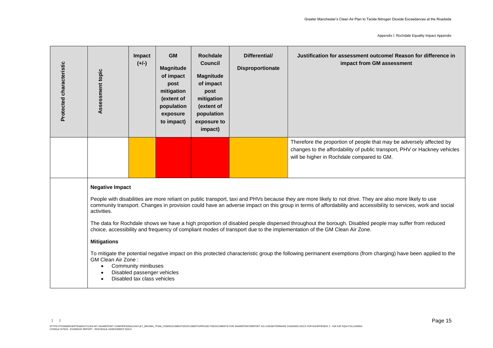| Protected characteristic | Assessment topic                                                                                                                                                                                                                                                                                                                                                                                                                                                                                                                                                                                                                                                                                                                                                                                                                                                                                                                                                                            | <b>Impact</b><br>$(+/-)$ | <b>GM</b><br><b>Magnitude</b><br>of impact<br>post<br>mitigation<br>(extent of<br>population<br>exposure<br>to impact) | <b>Rochdale</b><br><b>Council</b><br><b>Magnitude</b><br>of impact<br>post<br>mitigation<br>(extent of<br>population<br>exposure to<br>impact) | Differential/<br><b>Disproportionate</b> | Justification for assessment outcome/ Reason for difference in<br>impact from GM assessment |  |  |  |
|--------------------------|---------------------------------------------------------------------------------------------------------------------------------------------------------------------------------------------------------------------------------------------------------------------------------------------------------------------------------------------------------------------------------------------------------------------------------------------------------------------------------------------------------------------------------------------------------------------------------------------------------------------------------------------------------------------------------------------------------------------------------------------------------------------------------------------------------------------------------------------------------------------------------------------------------------------------------------------------------------------------------------------|--------------------------|------------------------------------------------------------------------------------------------------------------------|------------------------------------------------------------------------------------------------------------------------------------------------|------------------------------------------|---------------------------------------------------------------------------------------------|--|--|--|
|                          | Therefore the proportion of people that may be adversely affected by<br>changes to the affordability of public transport, PHV or Hackney vehicles<br>will be higher in Rochdale compared to GM.                                                                                                                                                                                                                                                                                                                                                                                                                                                                                                                                                                                                                                                                                                                                                                                             |                          |                                                                                                                        |                                                                                                                                                |                                          |                                                                                             |  |  |  |
|                          | <b>Negative Impact</b><br>People with disabilities are more reliant on public transport, taxi and PHVs because they are more likely to not drive. They are also more likely to use<br>community transport. Changes in provision could have an adverse impact on this group in terms of affordability and accessibility to services, work and social<br>activities.<br>The data for Rochdale shows we have a high proportion of disabled people dispersed throughout the borough. Disabled people may suffer from reduced<br>choice, accessibility and frequency of compliant modes of transport due to the implementation of the GM Clean Air Zone.<br><b>Mitigations</b><br>To mitigate the potential negative impact on this protected characteristic group the following permanent exemptions (from charging) have been applied to the<br>GM Clean Air Zone:<br>Community minibuses<br>$\bullet$<br>Disabled passenger vehicles<br>$\bullet$<br>Disabled tax class vehicles<br>$\bullet$ |                          |                                                                                                                        |                                                                                                                                                |                                          |                                                                                             |  |  |  |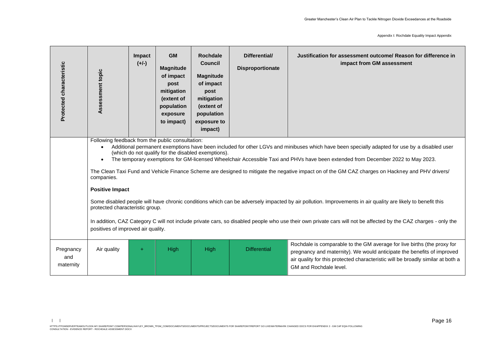| Protected characteristic      | Assessment topic                                                                                                                                                                                                                                                                                                                                                                                                                                                                                                                                                                                                                                                                                                                                                               | Impact<br>$(+/-)$ | <b>GM</b><br><b>Magnitude</b><br>of impact<br>post<br>mitigation<br>(extent of<br>population<br>exposure<br>to impact) | <b>Rochdale</b><br><b>Council</b><br><b>Magnitude</b><br>of impact<br>post<br>mitigation<br>(extent of<br>population<br>exposure to<br>impact) | Differential/<br>Disproportionate | Justification for assessment outcome/ Reason for difference in<br>impact from GM assessment                                                                                                                                                                    |  |  |  |
|-------------------------------|--------------------------------------------------------------------------------------------------------------------------------------------------------------------------------------------------------------------------------------------------------------------------------------------------------------------------------------------------------------------------------------------------------------------------------------------------------------------------------------------------------------------------------------------------------------------------------------------------------------------------------------------------------------------------------------------------------------------------------------------------------------------------------|-------------------|------------------------------------------------------------------------------------------------------------------------|------------------------------------------------------------------------------------------------------------------------------------------------|-----------------------------------|----------------------------------------------------------------------------------------------------------------------------------------------------------------------------------------------------------------------------------------------------------------|--|--|--|
|                               | Following feedback from the public consultation:<br>Additional permanent exemptions have been included for other LGVs and minibuses which have been specially adapted for use by a disabled user<br>$\bullet$<br>(which do not qualify for the disabled exemptions).<br>The temporary exemptions for GM-licensed Wheelchair Accessible Taxi and PHVs have been extended from December 2022 to May 2023.<br>$\bullet$<br>The Clean Taxi Fund and Vehicle Finance Scheme are designed to mitigate the negative impact on of the GM CAZ charges on Hackney and PHV drivers/<br>companies.<br><b>Positive Impact</b><br>Some disabled people will have chronic conditions which can be adversely impacted by air pollution. Improvements in air quality are likely to benefit this |                   |                                                                                                                        |                                                                                                                                                |                                   |                                                                                                                                                                                                                                                                |  |  |  |
|                               | protected characteristic group.<br>In addition, CAZ Category C will not include private cars, so disabled people who use their own private cars will not be affected by the CAZ charges - only the<br>positives of improved air quality.                                                                                                                                                                                                                                                                                                                                                                                                                                                                                                                                       |                   |                                                                                                                        |                                                                                                                                                |                                   |                                                                                                                                                                                                                                                                |  |  |  |
| Pregnancy<br>and<br>maternity | Air quality                                                                                                                                                                                                                                                                                                                                                                                                                                                                                                                                                                                                                                                                                                                                                                    | $\ddot{}$         | High                                                                                                                   | High                                                                                                                                           | <b>Differential</b>               | Rochdale is comparable to the GM average for live births (the proxy for<br>pregnancy and maternity). We would anticipate the benefits of improved<br>air quality for this protected characteristic will be broadly similar at both a<br>GM and Rochdale level. |  |  |  |

 $| \cdot |$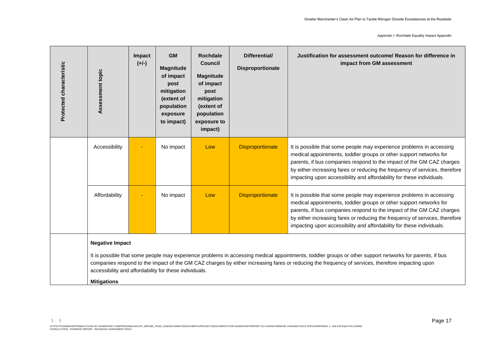Appendix I: Rochdale Equality Impact Appendix

| Protected characteristic | Assessment topic                                                                                                                                                                                                                                                                                                                                                                                                      | Impact<br>$(+/-)$ | <b>GM</b><br><b>Magnitude</b><br>of impact<br>post<br>mitigation<br>(extent of<br>population<br>exposure<br>to impact) | <b>Rochdale</b><br><b>Council</b><br><b>Magnitude</b><br>of impact<br>post<br>mitigation<br>(extent of<br>population<br>exposure to<br>impact) | Differential/<br><b>Disproportionate</b> | Justification for assessment outcome/ Reason for difference in<br>impact from GM assessment                                                                                                                                                                                                                                                                                 |  |  |  |  |
|--------------------------|-----------------------------------------------------------------------------------------------------------------------------------------------------------------------------------------------------------------------------------------------------------------------------------------------------------------------------------------------------------------------------------------------------------------------|-------------------|------------------------------------------------------------------------------------------------------------------------|------------------------------------------------------------------------------------------------------------------------------------------------|------------------------------------------|-----------------------------------------------------------------------------------------------------------------------------------------------------------------------------------------------------------------------------------------------------------------------------------------------------------------------------------------------------------------------------|--|--|--|--|
|                          | Accessibility                                                                                                                                                                                                                                                                                                                                                                                                         |                   | No impact                                                                                                              | Low                                                                                                                                            | <b>Disproportionate</b>                  | It is possible that some people may experience problems in accessing<br>medical appointments, toddler groups or other support networks for<br>parents, if bus companies respond to the impact of the GM CAZ charges<br>by either increasing fares or reducing the frequency of services, therefore<br>impacting upon accessibility and affordability for these individuals. |  |  |  |  |
|                          | Affordability                                                                                                                                                                                                                                                                                                                                                                                                         |                   | No impact                                                                                                              | Low                                                                                                                                            | <b>Disproportionate</b>                  | It is possible that some people may experience problems in accessing<br>medical appointments, toddler groups or other support networks for<br>parents, if bus companies respond to the impact of the GM CAZ charges<br>by either increasing fares or reducing the frequency of services, therefore<br>impacting upon accessibility and affordability for these individuals. |  |  |  |  |
|                          | <b>Negative Impact</b><br>It is possible that some people may experience problems in accessing medical appointments, toddler groups or other support networks for parents, if bus<br>companies respond to the impact of the GM CAZ charges by either increasing fares or reducing the frequency of services, therefore impacting upon<br>accessibility and affordability for these individuals.<br><b>Mitigations</b> |                   |                                                                                                                        |                                                                                                                                                |                                          |                                                                                                                                                                                                                                                                                                                                                                             |  |  |  |  |

 $| \cdot |$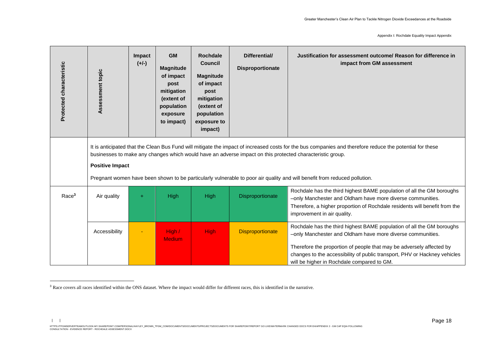| Protected characteristic | Assessment topic       | Impact<br>$(+/-)$ | <b>GM</b><br><b>Magnitude</b><br>of impact<br>post<br>mitigation<br>(extent of<br>population<br>exposure<br>to impact) | <b>Rochdale</b><br><b>Council</b><br><b>Magnitude</b><br>of impact<br>post<br>mitigation<br>(extent of<br>population<br>exposure to<br>impact) | Differential/<br><b>Disproportionate</b> | Justification for assessment outcome/ Reason for difference in<br>impact from GM assessment                                                                                                                                                                                                                                                                                                        |
|--------------------------|------------------------|-------------------|------------------------------------------------------------------------------------------------------------------------|------------------------------------------------------------------------------------------------------------------------------------------------|------------------------------------------|----------------------------------------------------------------------------------------------------------------------------------------------------------------------------------------------------------------------------------------------------------------------------------------------------------------------------------------------------------------------------------------------------|
|                          | <b>Positive Impact</b> |                   |                                                                                                                        |                                                                                                                                                |                                          | It is anticipated that the Clean Bus Fund will mitigate the impact of increased costs for the bus companies and therefore reduce the potential for these<br>businesses to make any changes which would have an adverse impact on this protected characteristic group.<br>Pregnant women have been shown to be particularly vulnerable to poor air quality and will benefit from reduced pollution. |
| Race <sup>3</sup>        | Air quality            | $\ddot{}$         | High                                                                                                                   | High                                                                                                                                           | Disproportionate                         | Rochdale has the third highest BAME population of all the GM boroughs<br>-only Manchester and Oldham have more diverse communities.<br>Therefore, a higher proportion of Rochdale residents will benefit from the<br>improvement in air quality.                                                                                                                                                   |
|                          | Accessibility          |                   | High /<br><b>Medium</b>                                                                                                | <b>High</b>                                                                                                                                    | <b>Disproportionate</b>                  | Rochdale has the third highest BAME population of all the GM boroughs<br>-only Manchester and Oldham have more diverse communities.<br>Therefore the proportion of people that may be adversely affected by<br>changes to the accessibility of public transport, PHV or Hackney vehicles<br>will be higher in Rochdale compared to GM.                                                             |

<sup>&</sup>lt;sup>3</sup> Race covers all races identified within the ONS dataset. Where the impact would differ for different races, this is identified in the narrative.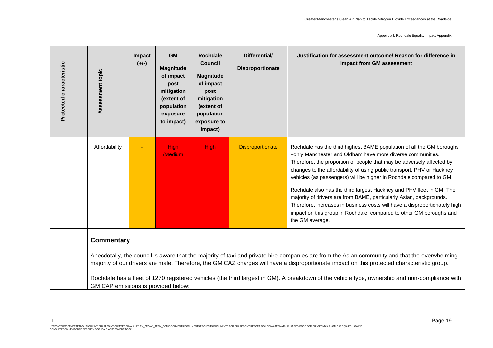| Protected characteristic | Assessment topic                                                                                                                                                                                                                                                                                                                                                                                                                                                                                           | Impact<br>$(+/-)$ | <b>GM</b><br><b>Magnitude</b><br>of impact<br>post<br>mitigation<br>(extent of<br>population<br>exposure<br>to impact) | <b>Rochdale</b><br><b>Council</b><br><b>Magnitude</b><br>of impact<br>post<br>mitigation<br>(extent of<br>population<br>exposure to<br>impact) | Differential/<br><b>Disproportionate</b> | Justification for assessment outcome/ Reason for difference in<br>impact from GM assessment                                                                                                                                                                                                                                                                                                                                                                                                                                                                                                                                                                                          |  |  |  |  |
|--------------------------|------------------------------------------------------------------------------------------------------------------------------------------------------------------------------------------------------------------------------------------------------------------------------------------------------------------------------------------------------------------------------------------------------------------------------------------------------------------------------------------------------------|-------------------|------------------------------------------------------------------------------------------------------------------------|------------------------------------------------------------------------------------------------------------------------------------------------|------------------------------------------|--------------------------------------------------------------------------------------------------------------------------------------------------------------------------------------------------------------------------------------------------------------------------------------------------------------------------------------------------------------------------------------------------------------------------------------------------------------------------------------------------------------------------------------------------------------------------------------------------------------------------------------------------------------------------------------|--|--|--|--|
|                          | Affordability                                                                                                                                                                                                                                                                                                                                                                                                                                                                                              |                   | <b>High</b><br>/Medium                                                                                                 | <b>High</b>                                                                                                                                    | <b>Disproportionate</b>                  | Rochdale has the third highest BAME population of all the GM boroughs<br>-only Manchester and Oldham have more diverse communities.<br>Therefore, the proportion of people that may be adversely affected by<br>changes to the affordability of using public transport, PHV or Hackney<br>vehicles (as passengers) will be higher in Rochdale compared to GM.<br>Rochdale also has the third largest Hackney and PHV fleet in GM. The<br>majority of drivers are from BAME, particularly Asian, backgrounds.<br>Therefore, increases in business costs will have a disproportionately high<br>impact on this group in Rochdale, compared to other GM boroughs and<br>the GM average. |  |  |  |  |
|                          | <b>Commentary</b><br>Anecdotally, the council is aware that the majority of taxi and private hire companies are from the Asian community and that the overwhelming<br>majority of our drivers are male. Therefore, the GM CAZ charges will have a disproportionate impact on this protected characteristic group.<br>Rochdale has a fleet of 1270 registered vehicles (the third largest in GM). A breakdown of the vehicle type, ownership and non-compliance with<br>GM CAP emissions is provided below: |                   |                                                                                                                        |                                                                                                                                                |                                          |                                                                                                                                                                                                                                                                                                                                                                                                                                                                                                                                                                                                                                                                                      |  |  |  |  |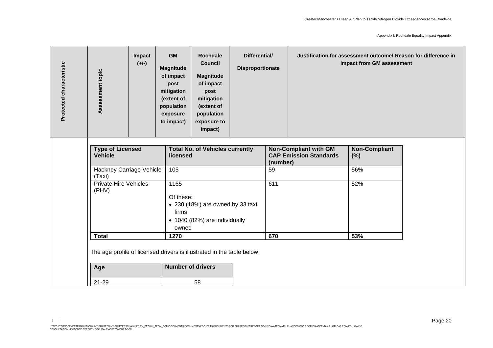| <b>Type of Licensed</b><br><b>Total No. of Vehicles currently</b><br><b>Non-Compliant with GM</b><br><b>Non-Compliant</b><br><b>CAP Emission Standards</b><br><b>Vehicle</b><br>licensed<br>(%)<br>(number)<br>Hackney Carriage Vehicle<br>105<br>56%<br>59<br>(Taxi)<br><b>Private Hire Vehicles</b><br>1165<br>611<br>52%<br>(PHV)<br>Of these:<br>• 230 (18%) are owned by 33 taxi<br>firms<br>• 1040 (82%) are individually<br>owned<br><b>Total</b><br>670<br>53%<br>1270 | Assessment topic | Impact<br>$(+/-)$ | <b>GM</b><br><b>Magnitude</b><br>of impact<br>post<br>mitigation<br>(extent of<br>population<br>exposure<br>to impact) | <b>Rochdale</b><br><b>Council</b><br><b>Magnitude</b><br>of impact<br>post<br>mitigation<br>(extent of<br>population<br>exposure to<br>impact) | Differential/<br><b>Disproportionate</b> |  | Justification for assessment outcome/ Reason for difference in<br>impact from GM assessment |  |
|--------------------------------------------------------------------------------------------------------------------------------------------------------------------------------------------------------------------------------------------------------------------------------------------------------------------------------------------------------------------------------------------------------------------------------------------------------------------------------|------------------|-------------------|------------------------------------------------------------------------------------------------------------------------|------------------------------------------------------------------------------------------------------------------------------------------------|------------------------------------------|--|---------------------------------------------------------------------------------------------|--|
|                                                                                                                                                                                                                                                                                                                                                                                                                                                                                |                  |                   |                                                                                                                        |                                                                                                                                                |                                          |  |                                                                                             |  |
|                                                                                                                                                                                                                                                                                                                                                                                                                                                                                |                  |                   |                                                                                                                        |                                                                                                                                                |                                          |  |                                                                                             |  |
|                                                                                                                                                                                                                                                                                                                                                                                                                                                                                |                  |                   |                                                                                                                        |                                                                                                                                                |                                          |  |                                                                                             |  |
|                                                                                                                                                                                                                                                                                                                                                                                                                                                                                |                  |                   |                                                                                                                        |                                                                                                                                                |                                          |  |                                                                                             |  |
| The age profile of licensed drivers is illustrated in the table below:<br><b>Number of drivers</b><br>Age                                                                                                                                                                                                                                                                                                                                                                      |                  |                   |                                                                                                                        |                                                                                                                                                |                                          |  |                                                                                             |  |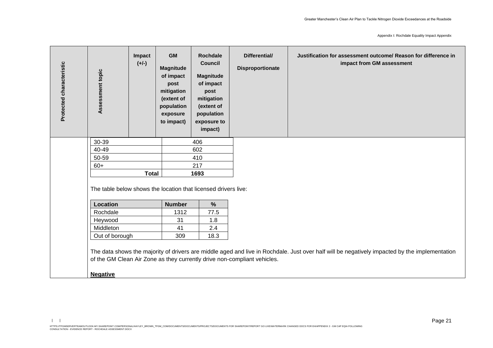| Protected characteristic | Assessment topic                                               | Impact<br>$(+/-)$ | <b>GM</b><br><b>Magnitude</b><br>of impact<br>post<br>mitigation<br>(extent of<br>population<br>exposure<br>to impact) | <b>Rochdale</b><br><b>Council</b><br><b>Magnitude</b><br>of impact<br>post<br>mitigation<br>(extent of<br>population<br>exposure to<br>impact) | Differential/<br>Disproportionate                                        | Justification for assessment outcome/ Reason for difference in<br>impact from GM assessment                                                   |
|--------------------------|----------------------------------------------------------------|-------------------|------------------------------------------------------------------------------------------------------------------------|------------------------------------------------------------------------------------------------------------------------------------------------|--------------------------------------------------------------------------|-----------------------------------------------------------------------------------------------------------------------------------------------|
|                          | 30-39                                                          |                   |                                                                                                                        | 406                                                                                                                                            |                                                                          |                                                                                                                                               |
|                          | 40-49                                                          |                   |                                                                                                                        | 602                                                                                                                                            |                                                                          |                                                                                                                                               |
|                          | 50-59                                                          |                   |                                                                                                                        | 410                                                                                                                                            |                                                                          |                                                                                                                                               |
|                          | $60+$                                                          |                   |                                                                                                                        | 217                                                                                                                                            |                                                                          |                                                                                                                                               |
|                          |                                                                | <b>Total</b>      |                                                                                                                        | 1693                                                                                                                                           |                                                                          |                                                                                                                                               |
|                          | The table below shows the location that licensed drivers live: |                   |                                                                                                                        |                                                                                                                                                |                                                                          |                                                                                                                                               |
|                          | <b>Location</b>                                                |                   | <b>Number</b>                                                                                                          | $\%$                                                                                                                                           |                                                                          |                                                                                                                                               |
|                          | Rochdale                                                       |                   | 1312                                                                                                                   | 77.5                                                                                                                                           |                                                                          |                                                                                                                                               |
|                          | Heywood                                                        |                   | 31                                                                                                                     | 1.8                                                                                                                                            |                                                                          |                                                                                                                                               |
|                          | Middleton                                                      |                   | 41                                                                                                                     | 2.4                                                                                                                                            |                                                                          |                                                                                                                                               |
|                          | Out of borough                                                 |                   | 309                                                                                                                    | 18.3                                                                                                                                           |                                                                          |                                                                                                                                               |
|                          | <b>Negative</b>                                                |                   |                                                                                                                        |                                                                                                                                                | of the GM Clean Air Zone as they currently drive non-compliant vehicles. | The data shows the majority of drivers are middle aged and live in Rochdale. Just over half will be negatively impacted by the implementation |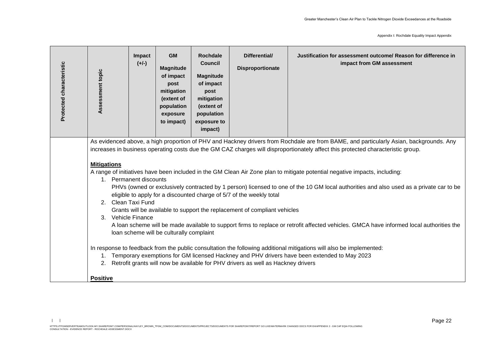| Protected characteristic | Assessment topic                                                                                                                                                                                                                                                                                                                                                                                                                                                                                                                                                                                                                                                                                                                                                                                                                                                                                                                                                                                                                                                                                                                                                                                                                                                                                                         | Impact<br>$(+/-)$ | <b>GM</b><br><b>Magnitude</b><br>of impact<br>post<br>mitigation<br>(extent of<br>population<br>exposure<br>to impact) | <b>Rochdale</b><br><b>Council</b><br><b>Magnitude</b><br>of impact<br>post<br>mitigation<br>(extent of<br>population<br>exposure to<br>impact) | Differential/<br><b>Disproportionate</b> | Justification for assessment outcome/ Reason for difference in<br>impact from GM assessment |  |
|--------------------------|--------------------------------------------------------------------------------------------------------------------------------------------------------------------------------------------------------------------------------------------------------------------------------------------------------------------------------------------------------------------------------------------------------------------------------------------------------------------------------------------------------------------------------------------------------------------------------------------------------------------------------------------------------------------------------------------------------------------------------------------------------------------------------------------------------------------------------------------------------------------------------------------------------------------------------------------------------------------------------------------------------------------------------------------------------------------------------------------------------------------------------------------------------------------------------------------------------------------------------------------------------------------------------------------------------------------------|-------------------|------------------------------------------------------------------------------------------------------------------------|------------------------------------------------------------------------------------------------------------------------------------------------|------------------------------------------|---------------------------------------------------------------------------------------------|--|
|                          | As evidenced above, a high proportion of PHV and Hackney drivers from Rochdale are from BAME, and particularly Asian, backgrounds. Any<br>increases in business operating costs due the GM CAZ charges will disproportionately affect this protected characteristic group.<br><b>Mitigations</b><br>A range of initiatives have been included in the GM Clean Air Zone plan to mitigate potential negative impacts, including:<br>1. Permanent discounts<br>PHVs (owned or exclusively contracted by 1 person) licensed to one of the 10 GM local authorities and also used as a private car to be<br>eligible to apply for a discounted charge of 5/7 of the weekly total<br>2. Clean Taxi Fund<br>Grants will be available to support the replacement of compliant vehicles<br><b>Vehicle Finance</b><br>3.<br>A loan scheme will be made available to support firms to replace or retrofit affected vehicles. GMCA have informed local authorities the<br>loan scheme will be culturally complaint<br>In response to feedback from the public consultation the following additional mitigations will also be implemented:<br>1. Temporary exemptions for GM licensed Hackney and PHV drivers have been extended to May 2023<br>Retrofit grants will now be available for PHV drivers as well as Hackney drivers<br>2. |                   |                                                                                                                        |                                                                                                                                                |                                          |                                                                                             |  |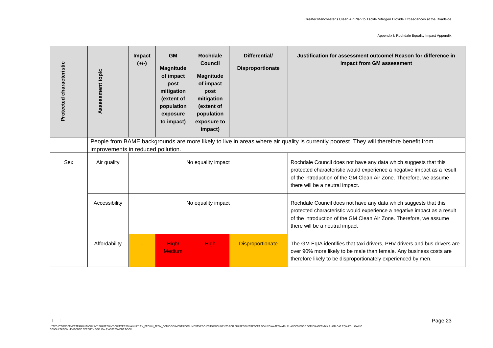| Protected characteristic | Assessment topic | Impact<br>$(+/-)$ | <b>GM</b><br><b>Magnitude</b><br>of impact<br>post<br>mitigation<br>(extent of<br>population<br>exposure<br>to impact)                                                       | <b>Rochdale</b><br><b>Council</b><br><b>Magnitude</b><br>of impact<br>post<br>mitigation<br>(extent of<br>population<br>exposure to<br>impact) | Differential/<br><b>Disproportionate</b> | Justification for assessment outcome/ Reason for difference in<br>impact from GM assessment                                                                                                                                                          |  |  |  |
|--------------------------|------------------|-------------------|------------------------------------------------------------------------------------------------------------------------------------------------------------------------------|------------------------------------------------------------------------------------------------------------------------------------------------|------------------------------------------|------------------------------------------------------------------------------------------------------------------------------------------------------------------------------------------------------------------------------------------------------|--|--|--|
|                          |                  |                   | People from BAME backgrounds are more likely to live in areas where air quality is currently poorest. They will therefore benefit from<br>improvements in reduced pollution. |                                                                                                                                                |                                          |                                                                                                                                                                                                                                                      |  |  |  |
| Sex                      | Air quality      |                   |                                                                                                                                                                              | No equality impact                                                                                                                             |                                          | Rochdale Council does not have any data which suggests that this<br>protected characteristic would experience a negative impact as a result<br>of the introduction of the GM Clean Air Zone. Therefore, we assume<br>there will be a neutral impact. |  |  |  |
|                          | Accessibility    |                   |                                                                                                                                                                              | No equality impact                                                                                                                             |                                          | Rochdale Council does not have any data which suggests that this<br>protected characteristic would experience a negative impact as a result<br>of the introduction of the GM Clean Air Zone. Therefore, we assume<br>there will be a neutral impact  |  |  |  |
|                          | Affordability    |                   | High/<br><b>Medium</b>                                                                                                                                                       | <b>High</b>                                                                                                                                    | <b>Disproportionate</b>                  | The GM EqIA identifies that taxi drivers, PHV drivers and bus drivers are<br>over 90% more likely to be male than female. Any business costs are<br>therefore likely to be disproportionately experienced by men.                                    |  |  |  |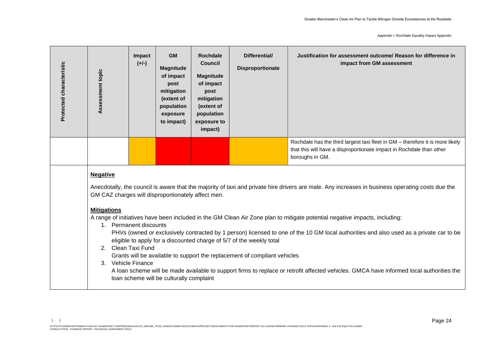| Protected characteristic | Assessment topic                                                                                                                                                                                                                                                                                                                                                                                                                                                                                                                                                                                                                                                                                                                                                                                                                                                                                                                              | Impact<br>$(+/-)$ | <b>GM</b><br><b>Magnitude</b><br>of impact<br>post<br>mitigation<br>(extent of<br>population<br>exposure<br>to impact) | <b>Rochdale</b><br><b>Council</b><br><b>Magnitude</b><br>of impact<br>post<br>mitigation<br>(extent of<br>population<br>exposure to<br>impact) | Differential/<br><b>Disproportionate</b> | Justification for assessment outcome/ Reason for difference in<br>impact from GM assessment                                                                              |  |  |  |
|--------------------------|-----------------------------------------------------------------------------------------------------------------------------------------------------------------------------------------------------------------------------------------------------------------------------------------------------------------------------------------------------------------------------------------------------------------------------------------------------------------------------------------------------------------------------------------------------------------------------------------------------------------------------------------------------------------------------------------------------------------------------------------------------------------------------------------------------------------------------------------------------------------------------------------------------------------------------------------------|-------------------|------------------------------------------------------------------------------------------------------------------------|------------------------------------------------------------------------------------------------------------------------------------------------|------------------------------------------|--------------------------------------------------------------------------------------------------------------------------------------------------------------------------|--|--|--|
|                          |                                                                                                                                                                                                                                                                                                                                                                                                                                                                                                                                                                                                                                                                                                                                                                                                                                                                                                                                               |                   |                                                                                                                        |                                                                                                                                                |                                          | Rochdale has the third largest taxi fleet in GM - therefore it is more likely<br>that this will have a disproportionate impact in Rochdale than other<br>boroughs in GM. |  |  |  |
|                          | <b>Negative</b><br>Anecdotally, the council is aware that the majority of taxi and private hire drivers are male. Any increases in business operating costs due the<br>GM CAZ charges will disproportionately affect men.<br><b>Mitigations</b><br>A range of initiatives have been included in the GM Clean Air Zone plan to mitigate potential negative impacts, including:<br>1. Permanent discounts<br>PHVs (owned or exclusively contracted by 1 person) licensed to one of the 10 GM local authorities and also used as a private car to be<br>eligible to apply for a discounted charge of 5/7 of the weekly total<br>Clean Taxi Fund<br>2.<br>Grants will be available to support the replacement of compliant vehicles<br>3. Vehicle Finance<br>A loan scheme will be made available to support firms to replace or retrofit affected vehicles. GMCA have informed local authorities the<br>loan scheme will be culturally complaint |                   |                                                                                                                        |                                                                                                                                                |                                          |                                                                                                                                                                          |  |  |  |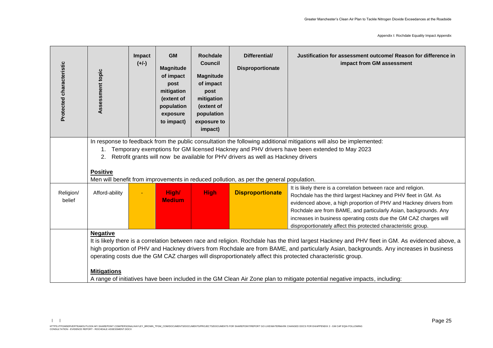| Protected characteristic | Assessment topic                                                                                                                                                                                                                                                                                                                                                                                                                                                                                                                                                                | Impact<br>$(+/-)$ | <b>GM</b><br><b>Magnitude</b><br>of impact<br>post<br>mitigation<br>(extent of<br>population<br>exposure<br>to impact) | <b>Rochdale</b><br><b>Council</b><br><b>Magnitude</b><br>of impact<br>post<br>mitigation<br>(extent of<br>population<br>exposure to<br>impact) | Differential/<br>Disproportionate | Justification for assessment outcome/ Reason for difference in<br>impact from GM assessment                                                                                                                                                                                                                                                                                                                       |  |  |  |
|--------------------------|---------------------------------------------------------------------------------------------------------------------------------------------------------------------------------------------------------------------------------------------------------------------------------------------------------------------------------------------------------------------------------------------------------------------------------------------------------------------------------------------------------------------------------------------------------------------------------|-------------------|------------------------------------------------------------------------------------------------------------------------|------------------------------------------------------------------------------------------------------------------------------------------------|-----------------------------------|-------------------------------------------------------------------------------------------------------------------------------------------------------------------------------------------------------------------------------------------------------------------------------------------------------------------------------------------------------------------------------------------------------------------|--|--|--|
|                          | In response to feedback from the public consultation the following additional mitigations will also be implemented:<br>Temporary exemptions for GM licensed Hackney and PHV drivers have been extended to May 2023<br>1.<br>Retrofit grants will now be available for PHV drivers as well as Hackney drivers<br>2.<br><b>Positive</b><br>Men will benefit from improvements in reduced pollution, as per the general population.                                                                                                                                                |                   |                                                                                                                        |                                                                                                                                                |                                   |                                                                                                                                                                                                                                                                                                                                                                                                                   |  |  |  |
| Religion/<br>belief      | Afford-ability                                                                                                                                                                                                                                                                                                                                                                                                                                                                                                                                                                  |                   | High/<br><b>Medium</b>                                                                                                 | <b>High</b>                                                                                                                                    | <b>Disproportionate</b>           | It is likely there is a correlation between race and religion.<br>Rochdale has the third largest Hackney and PHV fleet in GM. As<br>evidenced above, a high proportion of PHV and Hackney drivers from<br>Rochdale are from BAME, and particularly Asian, backgrounds. Any<br>increases in business operating costs due the GM CAZ charges will<br>disproportionately affect this protected characteristic group. |  |  |  |
|                          | <b>Negative</b><br>It is likely there is a correlation between race and religion. Rochdale has the third largest Hackney and PHV fleet in GM. As evidenced above, a<br>high proportion of PHV and Hackney drivers from Rochdale are from BAME, and particularly Asian, backgrounds. Any increases in business<br>operating costs due the GM CAZ charges will disproportionately affect this protected characteristic group.<br><b>Mitigations</b><br>A range of initiatives have been included in the GM Clean Air Zone plan to mitigate potential negative impacts, including: |                   |                                                                                                                        |                                                                                                                                                |                                   |                                                                                                                                                                                                                                                                                                                                                                                                                   |  |  |  |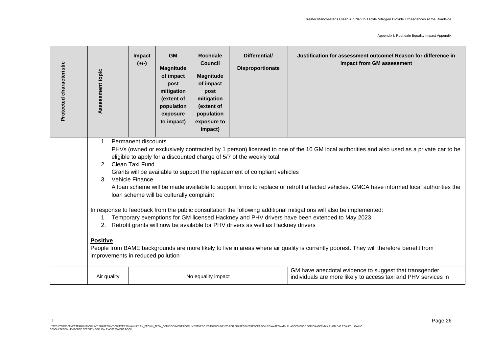| Protected characteristic | Assessment topic                                                                                                                                                                                                                                                                                                                                                                                                                                                                                                                                                                                                                                                                                                                                                                                                                                                                                                                                                                                                                                                                                                            | Impact<br>$(+/-)$ | <b>GM</b><br><b>Magnitude</b><br>of impact<br>post<br>mitigation<br>(extent of<br>population<br>exposure<br>to impact) | <b>Rochdale</b><br><b>Council</b><br><b>Magnitude</b><br>of impact<br>post<br>mitigation<br>(extent of<br>population<br>exposure to<br>impact) | Differential/<br><b>Disproportionate</b> | Justification for assessment outcome/ Reason for difference in<br>impact from GM assessment                              |  |  |
|--------------------------|-----------------------------------------------------------------------------------------------------------------------------------------------------------------------------------------------------------------------------------------------------------------------------------------------------------------------------------------------------------------------------------------------------------------------------------------------------------------------------------------------------------------------------------------------------------------------------------------------------------------------------------------------------------------------------------------------------------------------------------------------------------------------------------------------------------------------------------------------------------------------------------------------------------------------------------------------------------------------------------------------------------------------------------------------------------------------------------------------------------------------------|-------------------|------------------------------------------------------------------------------------------------------------------------|------------------------------------------------------------------------------------------------------------------------------------------------|------------------------------------------|--------------------------------------------------------------------------------------------------------------------------|--|--|
|                          | <b>Permanent discounts</b><br>$\mathbf{1}$<br>PHVs (owned or exclusively contracted by 1 person) licensed to one of the 10 GM local authorities and also used as a private car to be<br>eligible to apply for a discounted charge of 5/7 of the weekly total<br>2. Clean Taxi Fund<br>Grants will be available to support the replacement of compliant vehicles<br><b>Vehicle Finance</b><br>3 <sub>1</sub><br>A loan scheme will be made available to support firms to replace or retrofit affected vehicles. GMCA have informed local authorities the<br>loan scheme will be culturally complaint<br>In response to feedback from the public consultation the following additional mitigations will also be implemented:<br>Temporary exemptions for GM licensed Hackney and PHV drivers have been extended to May 2023<br>1.<br>Retrofit grants will now be available for PHV drivers as well as Hackney drivers<br>2.<br><b>Positive</b><br>People from BAME backgrounds are more likely to live in areas where air quality is currently poorest. They will therefore benefit from<br>improvements in reduced pollution |                   |                                                                                                                        |                                                                                                                                                |                                          |                                                                                                                          |  |  |
|                          | Air quality                                                                                                                                                                                                                                                                                                                                                                                                                                                                                                                                                                                                                                                                                                                                                                                                                                                                                                                                                                                                                                                                                                                 |                   |                                                                                                                        | No equality impact                                                                                                                             |                                          | GM have anecdotal evidence to suggest that transgender<br>individuals are more likely to access taxi and PHV services in |  |  |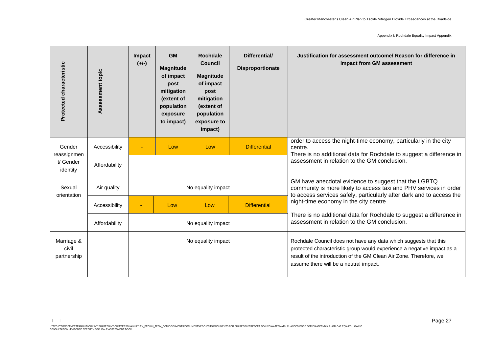Appendix I: Rochdale Equality Impact Appendix

| Protected characteristic           | Assessment topic | Impact<br>$(+/-)$ | <b>GM</b><br><b>Magnitude</b><br>of impact<br>post<br>mitigation<br>(extent of<br>population<br>exposure<br>to impact) | <b>Rochdale</b><br>Council<br><b>Magnitude</b><br>of impact<br>post<br>mitigation<br>(extent of<br>population<br>exposure to<br>impact) | Differential/<br><b>Disproportionate</b> | Justification for assessment outcome/ Reason for difference in<br>impact from GM assessment                                                                                                                                                                |
|------------------------------------|------------------|-------------------|------------------------------------------------------------------------------------------------------------------------|-----------------------------------------------------------------------------------------------------------------------------------------|------------------------------------------|------------------------------------------------------------------------------------------------------------------------------------------------------------------------------------------------------------------------------------------------------------|
| Gender<br>reassignmen              | Accessibility    |                   | Low                                                                                                                    | Low                                                                                                                                     | <b>Differential</b>                      | order to access the night-time economy, particularly in the city<br>centre.<br>There is no additional data for Rochdale to suggest a difference in                                                                                                         |
| t/ Gender<br>identity              | Affordability    |                   |                                                                                                                        |                                                                                                                                         |                                          | assessment in relation to the GM conclusion.                                                                                                                                                                                                               |
| Sexual<br>orientation              | Air quality      |                   |                                                                                                                        | No equality impact                                                                                                                      |                                          | GM have anecdotal evidence to suggest that the LGBTQ<br>community is more likely to access taxi and PHV services in order<br>to access services safely, particularly after dark and to access the                                                          |
|                                    | Accessibility    |                   | Low                                                                                                                    | Low                                                                                                                                     | <b>Differential</b>                      | night-time economy in the city centre                                                                                                                                                                                                                      |
|                                    | Affordability    |                   |                                                                                                                        | No equality impact                                                                                                                      |                                          | There is no additional data for Rochdale to suggest a difference in<br>assessment in relation to the GM conclusion.                                                                                                                                        |
| Marriage &<br>civil<br>partnership |                  |                   |                                                                                                                        | No equality impact                                                                                                                      |                                          | Rochdale Council does not have any data which suggests that this<br>protected characteristic group would experience a negative impact as a<br>result of the introduction of the GM Clean Air Zone. Therefore, we<br>assume there will be a neutral impact. |

 $| \cdot |$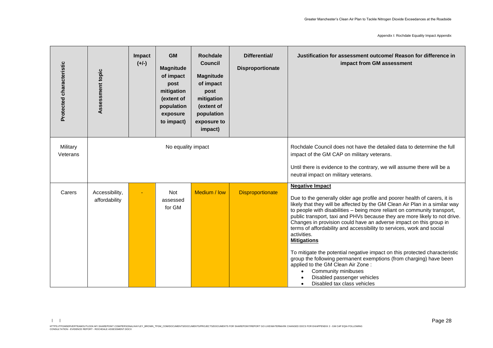| Protected characteristic | Assessment topic                | Impact<br>$(+/-)$ | <b>GM</b><br><b>Magnitude</b><br>of impact<br>post<br>mitigation<br>(extent of<br>population<br>exposure<br>to impact) | <b>Rochdale</b><br><b>Council</b><br><b>Magnitude</b><br>of impact<br>post<br>mitigation<br>(extent of<br>population<br>exposure to<br>impact) | Differential/<br><b>Disproportionate</b>                                                                                                                                                                                                | Justification for assessment outcome/ Reason for difference in<br>impact from GM assessment                                                                                                                                                                                                                                                                                                                                                                                                                                                                                                                                                                                                                                                                                                                    |
|--------------------------|---------------------------------|-------------------|------------------------------------------------------------------------------------------------------------------------|------------------------------------------------------------------------------------------------------------------------------------------------|-----------------------------------------------------------------------------------------------------------------------------------------------------------------------------------------------------------------------------------------|----------------------------------------------------------------------------------------------------------------------------------------------------------------------------------------------------------------------------------------------------------------------------------------------------------------------------------------------------------------------------------------------------------------------------------------------------------------------------------------------------------------------------------------------------------------------------------------------------------------------------------------------------------------------------------------------------------------------------------------------------------------------------------------------------------------|
| Military<br>Veterans     |                                 |                   | No equality impact                                                                                                     |                                                                                                                                                | Rochdale Council does not have the detailed data to determine the full<br>impact of the GM CAP on military veterans.<br>Until there is evidence to the contrary, we will assume there will be a<br>neutral impact on military veterans. |                                                                                                                                                                                                                                                                                                                                                                                                                                                                                                                                                                                                                                                                                                                                                                                                                |
| Carers                   | Accessibility,<br>affordability |                   | <b>Not</b><br>assessed<br>for GM                                                                                       | Medium / low                                                                                                                                   | <b>Disproportionate</b>                                                                                                                                                                                                                 | <b>Negative Impact</b><br>Due to the generally older age profile and poorer health of carers, it is<br>likely that they will be affected by the GM Clean Air Plan in a similar way<br>to people with disabilities - being more reliant on community transport,<br>public transport, taxi and PHVs because they are more likely to not drive.<br>Changes in provision could have an adverse impact on this group in<br>terms of affordability and accessibility to services, work and social<br>activities.<br><b>Mitigations</b><br>To mitigate the potential negative impact on this protected characteristic<br>group the following permanent exemptions (from charging) have been<br>applied to the GM Clean Air Zone:<br>Community minibuses<br>Disabled passenger vehicles<br>Disabled tax class vehicles |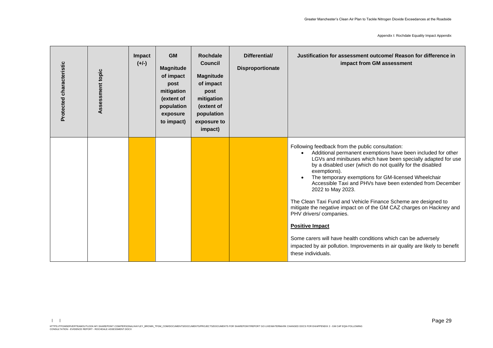| Protected characteristic | Assessment topic | Impact<br>$(+/-)$ | <b>GM</b><br><b>Magnitude</b><br>of impact<br>post<br>mitigation<br>(extent of<br>population<br>exposure<br>to impact) | <b>Rochdale</b><br><b>Council</b><br><b>Magnitude</b><br>of impact<br>post<br>mitigation<br>(extent of<br>population<br>exposure to<br>impact) | Differential/<br>Disproportionate | Justification for assessment outcome/ Reason for difference in<br>impact from GM assessment                                                                                                                                                                                                                                                                                                                                                                                                                                                                                                                                                                                                                                                                                                |
|--------------------------|------------------|-------------------|------------------------------------------------------------------------------------------------------------------------|------------------------------------------------------------------------------------------------------------------------------------------------|-----------------------------------|--------------------------------------------------------------------------------------------------------------------------------------------------------------------------------------------------------------------------------------------------------------------------------------------------------------------------------------------------------------------------------------------------------------------------------------------------------------------------------------------------------------------------------------------------------------------------------------------------------------------------------------------------------------------------------------------------------------------------------------------------------------------------------------------|
|                          |                  |                   |                                                                                                                        |                                                                                                                                                |                                   | Following feedback from the public consultation:<br>Additional permanent exemptions have been included for other<br>$\bullet$<br>LGVs and minibuses which have been specially adapted for use<br>by a disabled user (which do not qualify for the disabled<br>exemptions).<br>The temporary exemptions for GM-licensed Wheelchair<br>Accessible Taxi and PHVs have been extended from December<br>2022 to May 2023.<br>The Clean Taxi Fund and Vehicle Finance Scheme are designed to<br>mitigate the negative impact on of the GM CAZ charges on Hackney and<br>PHV drivers/ companies.<br><b>Positive Impact</b><br>Some carers will have health conditions which can be adversely<br>impacted by air pollution. Improvements in air quality are likely to benefit<br>these individuals. |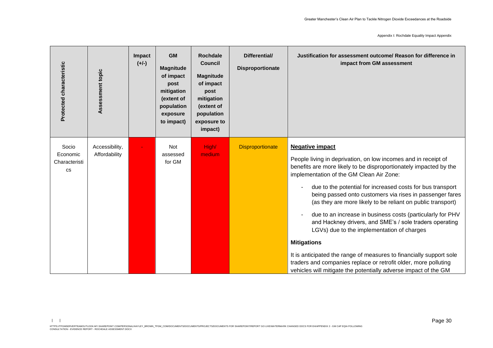Appendix I: Rochdale Equality Impact Appendix

| Protected characteristic                        | Assessment topic                | Impact<br>$(+/-)$ | <b>GM</b><br><b>Magnitude</b><br>of impact<br>post<br>mitigation<br>(extent of<br>population<br>exposure<br>to impact) | <b>Rochdale</b><br><b>Council</b><br><b>Magnitude</b><br>of impact<br>post<br>mitigation<br>(extent of<br>population<br>exposure to<br>impact) | Differential/<br><b>Disproportionate</b> | Justification for assessment outcome/ Reason for difference in<br>impact from GM assessment                                                                                                                                                                                                                                                                                                                                                                                                                                                                                                                                                                                                                                                                                                                  |
|-------------------------------------------------|---------------------------------|-------------------|------------------------------------------------------------------------------------------------------------------------|------------------------------------------------------------------------------------------------------------------------------------------------|------------------------------------------|--------------------------------------------------------------------------------------------------------------------------------------------------------------------------------------------------------------------------------------------------------------------------------------------------------------------------------------------------------------------------------------------------------------------------------------------------------------------------------------------------------------------------------------------------------------------------------------------------------------------------------------------------------------------------------------------------------------------------------------------------------------------------------------------------------------|
| Socio<br>Economic<br>Characteristi<br><b>CS</b> | Accessibility,<br>Affordability |                   | <b>Not</b><br>assessed<br>for GM                                                                                       | High/<br>medium                                                                                                                                | <b>Disproportionate</b>                  | <b>Negative impact</b><br>People living in deprivation, on low incomes and in receipt of<br>benefits are more likely to be disproportionately impacted by the<br>implementation of the GM Clean Air Zone:<br>due to the potential for increased costs for bus transport<br>being passed onto customers via rises in passenger fares<br>(as they are more likely to be reliant on public transport)<br>due to an increase in business costs (particularly for PHV<br>and Hackney drivers, and SME's / sole traders operating<br>LGVs) due to the implementation of charges<br><b>Mitigations</b><br>It is anticipated the range of measures to financially support sole<br>traders and companies replace or retrofit older, more polluting<br>vehicles will mitigate the potentially adverse impact of the GM |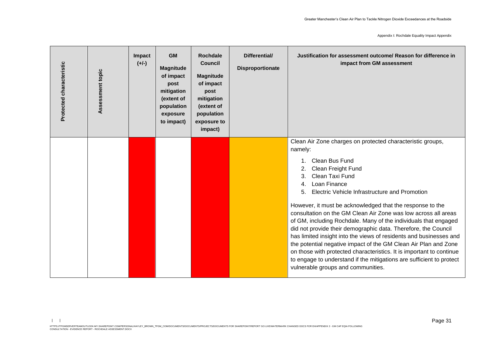| Protected characteristic | Assessment topic | Impact<br>$(+/-)$ | <b>GM</b><br><b>Magnitude</b><br>of impact<br>post<br>mitigation<br>(extent of<br>population<br>exposure<br>to impact) | <b>Rochdale</b><br><b>Council</b><br><b>Magnitude</b><br>of impact<br>post<br>mitigation<br>(extent of<br>population<br>exposure to<br>impact) | Differential/<br><b>Disproportionate</b> | Justification for assessment outcome/ Reason for difference in<br>impact from GM assessment                                                                                                                                                                                                                                                                                                                                                                                                                                                                                                                                                                                                                                                                                                                                      |
|--------------------------|------------------|-------------------|------------------------------------------------------------------------------------------------------------------------|------------------------------------------------------------------------------------------------------------------------------------------------|------------------------------------------|----------------------------------------------------------------------------------------------------------------------------------------------------------------------------------------------------------------------------------------------------------------------------------------------------------------------------------------------------------------------------------------------------------------------------------------------------------------------------------------------------------------------------------------------------------------------------------------------------------------------------------------------------------------------------------------------------------------------------------------------------------------------------------------------------------------------------------|
|                          |                  |                   |                                                                                                                        |                                                                                                                                                |                                          | Clean Air Zone charges on protected characteristic groups,<br>namely:<br>Clean Bus Fund<br>$\mathbf{1}$<br>Clean Freight Fund<br>Clean Taxi Fund<br>3.<br>Loan Finance<br>Electric Vehicle Infrastructure and Promotion<br>5.<br>However, it must be acknowledged that the response to the<br>consultation on the GM Clean Air Zone was low across all areas<br>of GM, including Rochdale. Many of the individuals that engaged<br>did not provide their demographic data. Therefore, the Council<br>has limited insight into the views of residents and businesses and<br>the potential negative impact of the GM Clean Air Plan and Zone<br>on those with protected characteristics. It is important to continue<br>to engage to understand if the mitigations are sufficient to protect<br>vulnerable groups and communities. |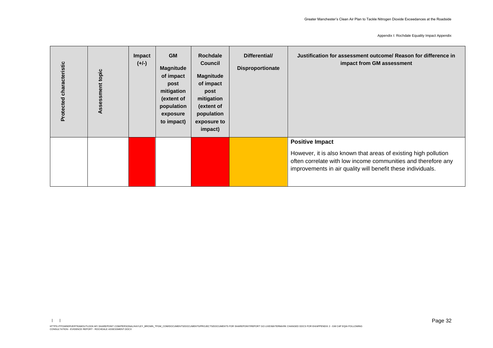Appendix I: Rochdale Equality Impact Appendix

| Protected characteristic | topic<br>ment<br>ğ,<br><b>in</b><br>⋖ | Impact<br>$(+/-)$ | <b>GM</b><br><b>Magnitude</b><br>of impact<br>post<br>mitigation<br>(extent of<br>population<br>exposure<br>to impact) | <b>Rochdale</b><br><b>Council</b><br><b>Magnitude</b><br>of impact<br>post<br>mitigation<br>(extent of<br>population<br>exposure to<br>impact) | Differential/<br><b>Disproportionate</b> | Justification for assessment outcome/ Reason for difference in<br>impact from GM assessment                                                                                                                               |
|--------------------------|---------------------------------------|-------------------|------------------------------------------------------------------------------------------------------------------------|------------------------------------------------------------------------------------------------------------------------------------------------|------------------------------------------|---------------------------------------------------------------------------------------------------------------------------------------------------------------------------------------------------------------------------|
|                          |                                       |                   |                                                                                                                        |                                                                                                                                                |                                          | <b>Positive Impact</b><br>However, it is also known that areas of existing high pollution<br>often correlate with low income communities and therefore any<br>improvements in air quality will benefit these individuals. |

 $| \cdot |$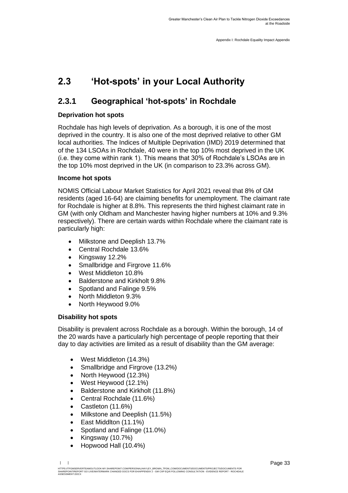# <span id="page-34-0"></span>**2.3 'Hot-spots' in your Local Authority**

### **2.3.1 Geographical 'hot-spots' in Rochdale**

#### **Deprivation hot spots**

Rochdale has high levels of deprivation. As a borough, it is one of the most deprived in the country. It is also one of the most deprived relative to other GM local authorities. The Indices of Multiple Deprivation (IMD) 2019 determined that of the 134 LSOAs in Rochdale, 40 were in the top 10% most deprived in the UK (i.e. they come within rank 1). This means that 30% of Rochdale's LSOAs are in the top 10% most deprived in the UK (in comparison to 23.3% across GM).

#### **Income hot spots**

NOMIS Official Labour Market Statistics for April 2021 reveal that 8% of GM residents (aged 16-64) are claiming benefits for unemployment. The claimant rate for Rochdale is higher at 8.8%. This represents the third highest claimant rate in GM (with only Oldham and Manchester having higher numbers at 10% and 9.3% respectively). There are certain wards within Rochdale where the claimant rate is particularly high:

- Milkstone and Deeplish 13.7%
- Central Rochdale 13.6%
- Kingsway 12.2%
- Smallbridge and Firgrove 11.6%
- West Middleton 10.8%
- Balderstone and Kirkholt 9.8%
- Spotland and Falinge 9.5%
- North Middleton 9.3%
- North Heywood 9.0%

#### **Disability hot spots**

Disability is prevalent across Rochdale as a borough. Within the borough, 14 of the 20 wards have a particularly high percentage of people reporting that their day to day activities are limited as a result of disability than the GM average:

- West Middleton (14.3%)
- Smallbridge and Firgrove (13.2%)
- North Heywood (12.3%)
- West Heywood (12.1%)
- Balderstone and Kirkholt (11.8%)
- Central Rochdale (11.6%)
- Castleton (11.6%)
- Milkstone and Deeplish (11.5%)
- East Middlton (11.1%)
- Spotland and Falinge (11.0%)
- Kingsway (10.7%)
- Hopwood Hall (10.4%)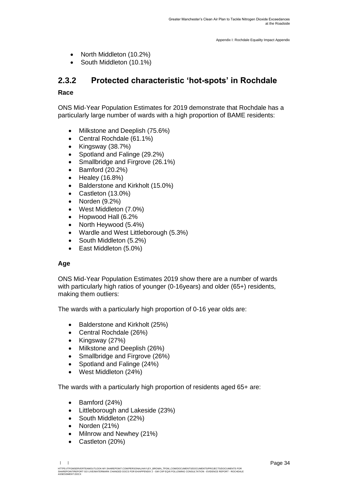- North Middleton (10.2%)
- South Middleton (10.1%)

### **2.3.2 Protected characteristic 'hot-spots' in Rochdale**

#### **Race**

ONS Mid-Year Population Estimates for 2019 demonstrate that Rochdale has a particularly large number of wards with a high proportion of BAME residents:

- Milkstone and Deeplish (75.6%)
- Central Rochdale (61.1%)
- Kingsway (38.7%)
- Spotland and Falinge (29.2%)
- Smallbridge and Firgrove (26.1%)
- Bamford (20.2%)
- Healey (16.8%)
- Balderstone and Kirkholt (15.0%)
- Castleton (13.0%)
- Norden (9.2%)
- West Middleton (7.0%)
- Hopwood Hall (6.2%
- North Heywood (5.4%)
- Wardle and West Littleborough (5.3%)
- South Middleton (5.2%)
- East Middleton (5.0%)

#### **Age**

ONS Mid-Year Population Estimates 2019 show there are a number of wards with particularly high ratios of younger (0-16years) and older (65+) residents, making them outliers:

The wards with a particularly high proportion of 0-16 year olds are:

- Balderstone and Kirkholt (25%)
- Central Rochdale (26%)
- Kingsway (27%)
- Milkstone and Deeplish (26%)
- Smallbridge and Firgrove (26%)
- Spotland and Falinge (24%)
- West Middleton (24%)

The wards with a particularly high proportion of residents aged 65+ are:

- Bamford (24%)
- Littleborough and Lakeside (23%)
- South Middleton (22%)
- Norden (21%)
- Milnrow and Newhey (21%)
- Castleton (20%)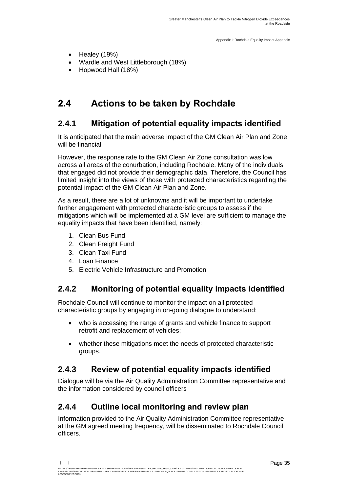- Healey (19%)
- Wardle and West Littleborough (18%)
- Hopwood Hall (18%)

## <span id="page-36-0"></span>**2.4 Actions to be taken by Rochdale**

### **2.4.1 Mitigation of potential equality impacts identified**

It is anticipated that the main adverse impact of the GM Clean Air Plan and Zone will be financial.

However, the response rate to the GM Clean Air Zone consultation was low across all areas of the conurbation, including Rochdale. Many of the individuals that engaged did not provide their demographic data. Therefore, the Council has limited insight into the views of those with protected characteristics regarding the potential impact of the GM Clean Air Plan and Zone.

As a result, there are a lot of unknowns and it will be important to undertake further engagement with protected characteristic groups to assess if the mitigations which will be implemented at a GM level are sufficient to manage the equality impacts that have been identified, namely:

- 1. Clean Bus Fund
- 2. Clean Freight Fund
- 3. Clean Taxi Fund
- 4. Loan Finance
- 5. Electric Vehicle Infrastructure and Promotion

### **2.4.2 Monitoring of potential equality impacts identified**

Rochdale Council will continue to monitor the impact on all protected characteristic groups by engaging in on-going dialogue to understand:

- who is accessing the range of grants and vehicle finance to support retrofit and replacement of vehicles;
- whether these mitigations meet the needs of protected characteristic groups.

### **2.4.3 Review of potential equality impacts identified**

Dialogue will be via the Air Quality Administration Committee representative and the information considered by council officers

### **2.4.4 Outline local monitoring and review plan**

Information provided to the Air Quality Administration Committee representative at the GM agreed meeting frequency, will be disseminated to Rochdale Council officers.